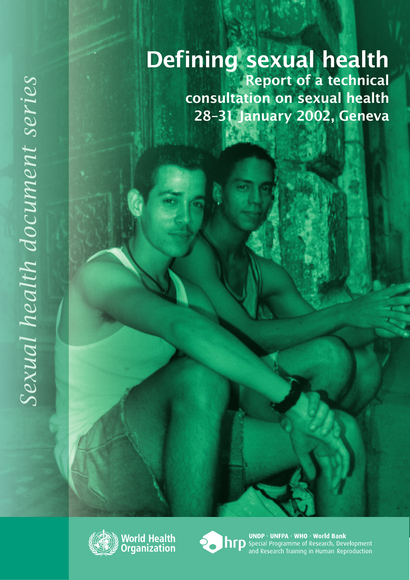# Defining sexual health Report of a technical consultation on sexual health 28–31 January 2002, Geneva





UNDP · UNFPA · WHO · World Bank<br> **http** Special Programme of Research, Development<br>
and Research Training in Human Reproduction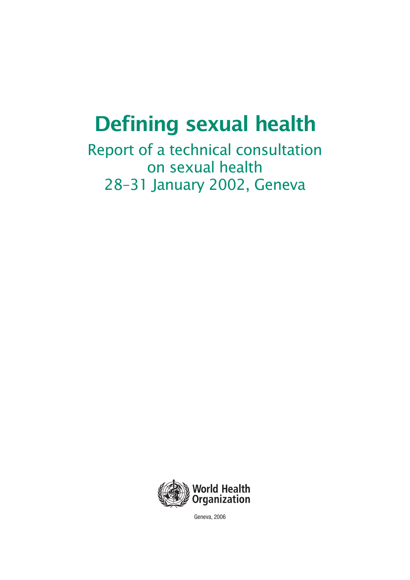# Defining sexual health

Report of a technical consultation on sexual health 28–31 January 2002, Geneva



Geneva, 2006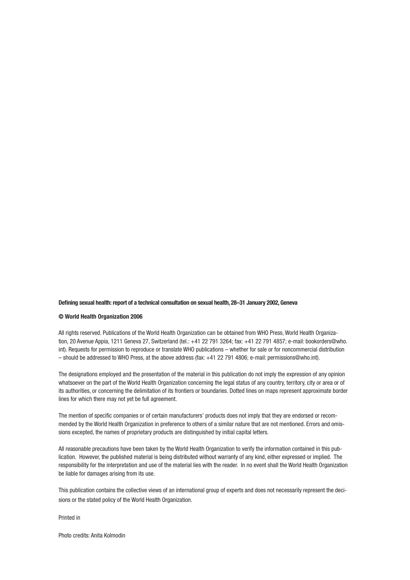#### **Defining sexual health: report of a technical consultation on sexual health, 28–31 January 2002, Geneva**

#### **© World Health Organization 2006**

All rights reserved. Publications of the World Health Organization can be obtained from WHO Press, World Health Organization, 20 Avenue Appia, 1211 Geneva 27, Switzerland (tel.: +41 22 791 3264; fax: +41 22 791 4857; e-mail: bookorders@who. int). Requests for permission to reproduce or translate WHO publications – whether for sale or for noncommercial distribution – should be addressed to WHO Press, at the above address (fax: +41 22 791 4806; e-mail: permissions@who.int).

The designations employed and the presentation of the material in this publication do not imply the expression of any opinion whatsoever on the part of the World Health Organization concerning the legal status of any country, territory, city or area or of its authorities, or concerning the delimitation of its frontiers or boundaries. Dotted lines on maps represent approximate border lines for which there may not yet be full agreement.

The mention of specific companies or of certain manufacturers' products does not imply that they are endorsed or recommended by the World Health Organization in preference to others of a similar nature that are not mentioned. Errors and omissions excepted, the names of proprietary products are distinguished by initial capital letters.

All reasonable precautions have been taken by the World Health Organization to verify the information contained in this publication. However, the published material is being distributed without warranty of any kind, either expressed or implied. The responsibility for the interpretation and use of the material lies with the reader. In no event shall the World Health Organization be liable for damages arising from its use.

This publication contains the collective views of an international group of experts and does not necessarily represent the decisions or the stated policy of the World Health Organization.

Printed in

Photo credits: Anita Kolmodin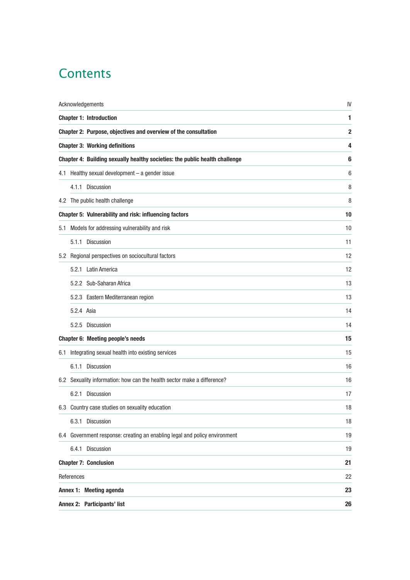### **Contents**

| Acknowledgements             | IV                                                                          |              |
|------------------------------|-----------------------------------------------------------------------------|--------------|
|                              | <b>Chapter 1: Introduction</b>                                              | 1            |
|                              | Chapter 2: Purpose, objectives and overview of the consultation             | $\mathbf{2}$ |
|                              | <b>Chapter 3: Working definitions</b>                                       | 4            |
|                              | Chapter 4: Building sexually healthy societies: the public health challenge | 6            |
|                              | 4.1 Healthy sexual development - a gender issue                             | 6            |
|                              | 4.1.1 Discussion                                                            | 8            |
|                              | 4.2 The public health challenge                                             | 8            |
|                              | Chapter 5: Vulnerability and risk: influencing factors                      | 10           |
| 5.1                          | Models for addressing vulnerability and risk                                | 10           |
|                              | 5.1.1 Discussion                                                            | 11           |
|                              | 5.2 Regional perspectives on sociocultural factors                          | 12           |
|                              | 5.2.1 Latin America                                                         | 12           |
|                              | 5.2.2 Sub-Saharan Africa                                                    | 13           |
|                              | 5.2.3 Eastern Mediterranean region                                          | 13           |
|                              | 5.2.4 Asia                                                                  | 14           |
|                              | 5.2.5 Discussion                                                            | 14           |
|                              | <b>Chapter 6: Meeting people's needs</b>                                    | 15           |
| 6.1                          | Integrating sexual health into existing services                            | 15           |
|                              | 6.1.1 Discussion                                                            | 16           |
|                              | 6.2 Sexuality information: how can the health sector make a difference?     | 16           |
|                              | 6.2.1 Discussion                                                            | 17           |
|                              | 6.3 Country case studies on sexuality education                             | 18           |
|                              | 6.3.1 Discussion                                                            | 18           |
|                              | 6.4 Government response: creating an enabling legal and policy environment  | 19           |
|                              | 6.4.1 Discussion                                                            | 19           |
| <b>Chapter 7: Conclusion</b> | 21                                                                          |              |
| References                   | 22                                                                          |              |
|                              | Annex 1: Meeting agenda                                                     | 23           |
| Annex 2: Participants' list  | 26                                                                          |              |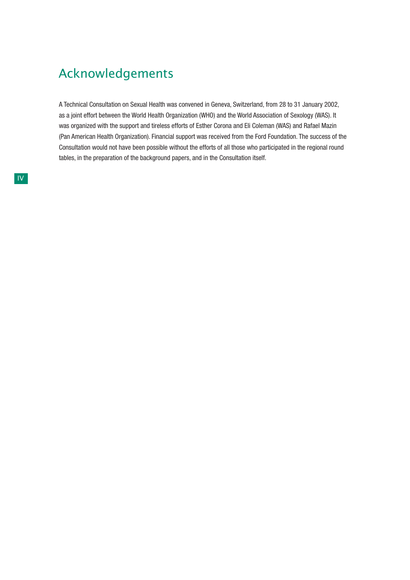### Acknowledgements

A Technical Consultation on Sexual Health was convened in Geneva, Switzerland, from 28 to 31 January 2002, as a joint effort between the World Health Organization (WHO) and the World Association of Sexology (WAS). It was organized with the support and tireless efforts of Esther Corona and Eli Coleman (WAS) and Rafael Mazin (Pan American Health Organization). Financial support was received from the Ford Foundation. The success of the Consultation would not have been possible without the efforts of all those who participated in the regional round tables, in the preparation of the background papers, and in the Consultation itself.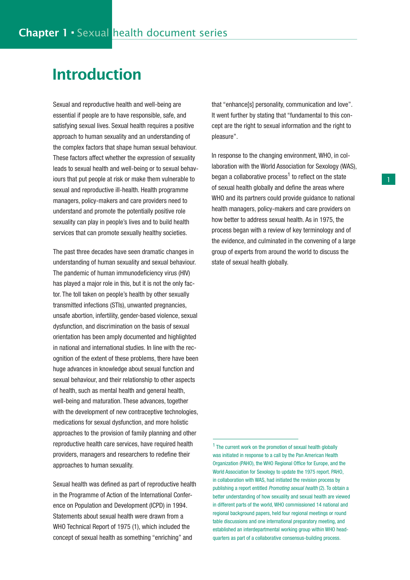## Introduction

Sexual and reproductive health and well-being are essential if people are to have responsible, safe, and satisfying sexual lives. Sexual health requires a positive approach to human sexuality and an understanding of the complex factors that shape human sexual behaviour. These factors affect whether the expression of sexuality leads to sexual health and well-being or to sexual behaviours that put people at risk or make them vulnerable to sexual and reproductive ill-health. Health programme managers, policy-makers and care providers need to understand and promote the potentially positive role sexuality can play in people's lives and to build health services that can promote sexually healthy societies.

The past three decades have seen dramatic changes in understanding of human sexuality and sexual behaviour. The pandemic of human immunodeficiency virus (HIV) has played a major role in this, but it is not the only factor. The toll taken on people's health by other sexually transmitted infections (STIs), unwanted pregnancies, unsafe abortion, infertility, gender-based violence, sexual dysfunction, and discrimination on the basis of sexual orientation has been amply documented and highlighted in national and international studies. In line with the recognition of the extent of these problems, there have been huge advances in knowledge about sexual function and sexual behaviour, and their relationship to other aspects of health, such as mental health and general health, well-being and maturation. These advances, together with the development of new contraceptive technologies, medications for sexual dysfunction, and more holistic approaches to the provision of family planning and other reproductive health care services, have required health providers, managers and researchers to redefine their approaches to human sexuality.

Sexual health was defined as part of reproductive health in the Programme of Action of the International Conference on Population and Development (ICPD) in 1994. Statements about sexual health were drawn from a WHO Technical Report of 1975 (1), which included the concept of sexual health as something "enriching" and

that "enhance[s] personality, communication and love". It went further by stating that "fundamental to this concept are the right to sexual information and the right to pleasure".

In response to the changing environment, WHO, in collaboration with the World Association for Sexology (WAS), began a collaborative process<sup>1</sup> to reflect on the state of sexual health globally and define the areas where WHO and its partners could provide guidance to national health managers, policy-makers and care providers on how better to address sexual health. As in 1975, the process began with a review of key terminology and of the evidence, and culminated in the convening of a large group of experts from around the world to discuss the state of sexual health globally.

<sup>&</sup>lt;sup>1</sup> The current work on the promotion of sexual health globally was initiated in response to a call by the Pan American Health Organization (PAHO), the WHO Regional Office for Europe, and the World Association for Sexology to update the 1975 report. PAHO, in collaboration with WAS, had initiated the revision process by publishing a report entitled Promoting sexual health (2). To obtain a better understanding of how sexuality and sexual health are viewed in different parts of the world, WHO commissioned 14 national and regional background papers, held four regional meetings or round table discussions and one international preparatory meeting, and established an interdepartmental working group within WHO headquarters as part of a collaborative consensus-building process.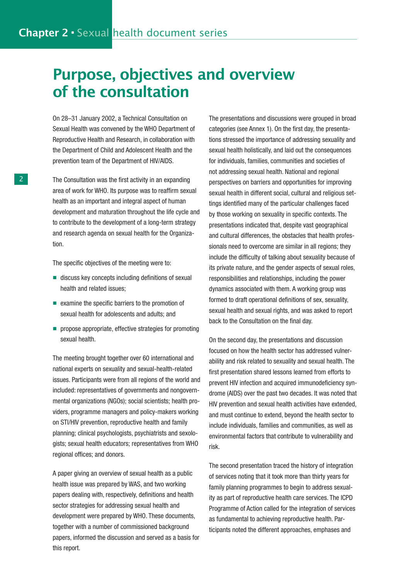# Purpose, objectives and overview of the consultation

On 28–31 January 2002, a Technical Consultation on Sexual Health was convened by the WHO Department of Reproductive Health and Research, in collaboration with the Department of Child and Adolescent Health and the prevention team of the Department of HIV/AIDS.

The Consultation was the first activity in an expanding area of work for WHO. Its purpose was to reaffirm sexual health as an important and integral aspect of human development and maturation throughout the life cycle and to contribute to the development of a long-term strategy and research agenda on sexual health for the Organization.

The specific objectives of the meeting were to:

- discuss key concepts including definitions of sexual health and related issues;
- examine the specific barriers to the promotion of sexual health for adolescents and adults; and
- propose appropriate, effective strategies for promoting sexual health.

The meeting brought together over 60 international and national experts on sexuality and sexual-health-related issues. Participants were from all regions of the world and included: representatives of governments and nongovernmental organizations (NGOs); social scientists; health providers, programme managers and policy-makers working on STI/HIV prevention, reproductive health and family planning; clinical psychologists, psychiatrists and sexologists; sexual health educators; representatives from WHO regional offices; and donors.

A paper giving an overview of sexual health as a public health issue was prepared by WAS, and two working papers dealing with, respectively, definitions and health sector strategies for addressing sexual health and development were prepared by WHO. These documents, together with a number of commissioned background papers, informed the discussion and served as a basis for this report.

The presentations and discussions were grouped in broad categories (see Annex 1). On the first day, the presentations stressed the importance of addressing sexuality and sexual health holistically, and laid out the consequences for individuals, families, communities and societies of not addressing sexual health. National and regional perspectives on barriers and opportunities for improving sexual health in different social, cultural and religious settings identified many of the particular challenges faced by those working on sexuality in specific contexts. The presentations indicated that, despite vast geographical and cultural differences, the obstacles that health professionals need to overcome are similar in all regions; they include the difficulty of talking about sexuality because of its private nature, and the gender aspects of sexual roles, responsibilities and relationships, including the power dynamics associated with them. A working group was formed to draft operational definitions of sex, sexuality, sexual health and sexual rights, and was asked to report back to the Consultation on the final day.

On the second day, the presentations and discussion focused on how the health sector has addressed vulnerability and risk related to sexuality and sexual health. The first presentation shared lessons learned from efforts to prevent HIV infection and acquired immunodeficiency syndrome (AIDS) over the past two decades. It was noted that HIV prevention and sexual health activities have extended, and must continue to extend, beyond the health sector to include individuals, families and communities, as well as environmental factors that contribute to vulnerability and risk.

The second presentation traced the history of integration of services noting that it took more than thirty years for family planning programmes to begin to address sexuality as part of reproductive health care services. The ICPD Programme of Action called for the integration of services as fundamental to achieving reproductive health. Participants noted the different approaches, emphases and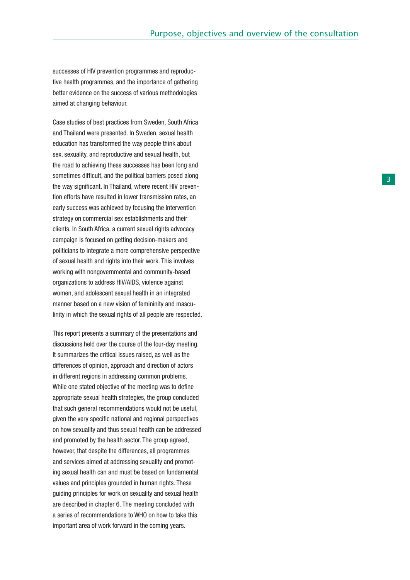successes of HIV prevention programmes and reproductive health programmes, and the importance of gathering better evidence on the success of various methodologies aimed at changing behaviour.

Case studies of best practices from Sweden, South Africa and Thailand were presented. In Sweden, sexual health education has transformed the way people think about sex, sexuality, and reproductive and sexual health, but the road to achieving these successes has been long and sometimes difficult, and the political barriers posed along the way significant. In Thailand, where recent HIV prevention efforts have resulted in lower transmission rates, an early success was achieved by focusing the intervention strategy on commercial sex establishments and their clients. In South Africa, a current sexual rights advocacy campaign is focused on getting decision-makers and politicians to integrate a more comprehensive perspective of sexual health and rights into their work. This involves working with nongovernmental and community-based organizations to address HIV/AIDS, violence against women, and adolescent sexual health in an integrated manner based on a new vision of femininity and masculinity in which the sexual rights of all people are respected.

This report presents a summary of the presentations and discussions held over the course of the four-day meeting. It summarizes the critical issues raised, as well as the differences of opinion, approach and direction of actors in different regions in addressing common problems. While one stated objective of the meeting was to define appropriate sexual health strategies, the group concluded that such general recommendations would not be useful, given the very specific national and regional perspectives on how sexuality and thus sexual health can be addressed and promoted by the health sector. The group agreed, however, that despite the differences, all programmes and services aimed at addressing sexuality and promoting sexual health can and must be based on fundamental values and principles grounded in human rights. These guiding principles for work on sexuality and sexual health are described in chapter 6. The meeting concluded with a series of recommendations to WHO on how to take this important area of work forward in the coming years.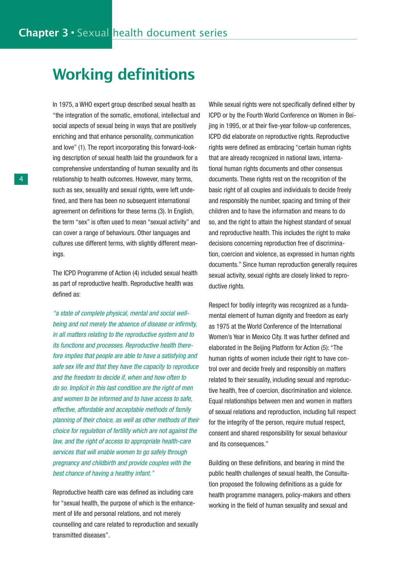# Working definitions

In 1975, a WHO expert group described sexual health as "the integration of the somatic, emotional, intellectual and social aspects of sexual being in ways that are positively enriching and that enhance personality, communication and love" (1). The report incorporating this forward-looking description of sexual health laid the groundwork for a comprehensive understanding of human sexuality and its relationship to health outcomes. However, many terms, such as sex, sexuality and sexual rights, were left undefined, and there has been no subsequent international agreement on definitions for these terms (3). In English, the term "sex" is often used to mean "sexual activity" and can cover a range of behaviours. Other languages and cultures use different terms, with slightly different meanings.

The ICPD Programme of Action (4) included sexual health as part of reproductive health. Reproductive health was defined as:

"a state of complete physical, mental and social wellbeing and not merely the absence of disease or infirmity, in all matters relating to the reproductive system and to its functions and processes. Reproductive health therefore implies that people are able to have a satisfying and safe sex life and that they have the capacity to reproduce and the freedom to decide if, when and how often to do so. Implicit in this last condition are the right of men and women to be informed and to have access to safe, effective, affordable and acceptable methods of family planning of their choice, as well as other methods of their choice for regulation of fertility which are not against the law, and the right of access to appropriate health-care services that will enable women to go safely through pregnancy and childbirth and provide couples with the best chance of having a healthy infant."

Reproductive health care was defined as including care for "sexual health, the purpose of which is the enhancement of life and personal relations, and not merely counselling and care related to reproduction and sexually transmitted diseases".

While sexual rights were not specifically defined either by ICPD or by the Fourth World Conference on Women in Beijing in 1995, or at their five-year follow-up conferences, ICPD did elaborate on reproductive rights. Reproductive rights were defined as embracing "certain human rights that are already recognized in national laws, international human rights documents and other consensus documents. These rights rest on the recognition of the basic right of all couples and individuals to decide freely and responsibly the number, spacing and timing of their children and to have the information and means to do so, and the right to attain the highest standard of sexual and reproductive health. This includes the right to make decisions concerning reproduction free of discrimination, coercion and violence, as expressed in human rights documents." Since human reproduction generally requires sexual activity, sexual rights are closely linked to reproductive rights.

Respect for bodily integrity was recognized as a fundamental element of human dignity and freedom as early as 1975 at the World Conference of the International Women's Year in Mexico City. It was further defined and elaborated in the Beijing Platform for Action (5): "The human rights of women include their right to have control over and decide freely and responsibly on matters related to their sexuality, including sexual and reproductive health, free of coercion, discrimination and violence. Equal relationships between men and women in matters of sexual relations and reproduction, including full respect for the integrity of the person, require mutual respect, consent and shared responsibility for sexual behaviour and its consequences."

Building on these definitions, and bearing in mind the public health challenges of sexual health, the Consultation proposed the following definitions as a guide for health programme managers, policy-makers and others working in the field of human sexuality and sexual and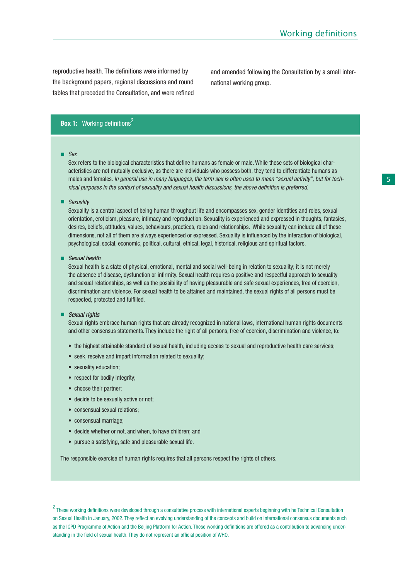reproductive health. The definitions were informed by the background papers, regional discussions and round tables that preceded the Consultation, and were refined and amended following the Consultation by a small international working group.

### **Box 1:** Working definitions<sup>2</sup>

■ Sex

Sex refers to the biological characteristics that define humans as female or male. While these sets of biological characteristics are not mutually exclusive, as there are individuals who possess both, they tend to differentiate humans as males and females. In general use in many languages, the term sex is often used to mean "sexual activity", but for technical purposes in the context of sexuality and sexual health discussions, the above definition is preferred.

#### ■ Sexuality

Sexuality is a central aspect of being human throughout life and encompasses sex, gender identities and roles, sexual orientation, eroticism, pleasure, intimacy and reproduction. Sexuality is experienced and expressed in thoughts, fantasies, desires, beliefs, attitudes, values, behaviours, practices, roles and relationships. While sexuality can include all of these dimensions, not all of them are always experienced or expressed. Sexuality is influenced by the interaction of biological, psychological, social, economic, political, cultural, ethical, legal, historical, religious and spiritual factors.

■ Sexual health

Sexual health is a state of physical, emotional, mental and social well-being in relation to sexuality; it is not merely the absence of disease, dysfunction or infirmity. Sexual health requires a positive and respectful approach to sexuality and sexual relationships, as well as the possibility of having pleasurable and safe sexual experiences, free of coercion, discrimination and violence. For sexual health to be attained and maintained, the sexual rights of all persons must be respected, protected and fulfilled.

#### ■ Sexual rights

Sexual rights embrace human rights that are already recognized in national laws, international human rights documents and other consensus statements. They include the right of all persons, free of coercion, discrimination and violence, to:

- the highest attainable standard of sexual health, including access to sexual and reproductive health care services;
- seek, receive and impart information related to sexuality;
- sexuality education;
- respect for bodily integrity;
- choose their partner;
- decide to be sexually active or not;
- consensual sexual relations;
- consensual marriage;
- decide whether or not, and when, to have children; and
- pursue a satisfying, safe and pleasurable sexual life.

The responsible exercise of human rights requires that all persons respect the rights of others.

<sup>2</sup> These working definitions were developed through a consultative process with international experts beginning with he Technical Consultation on Sexual Health in January, 2002. They reflect an evolving understanding of the concepts and build on international consensus documents such as the ICPD Programme of Action and the Beijing Platform for Action. These working definitions are offered as a contribution to advancing understanding in the field of sexual health. They do not represent an official position of WHO.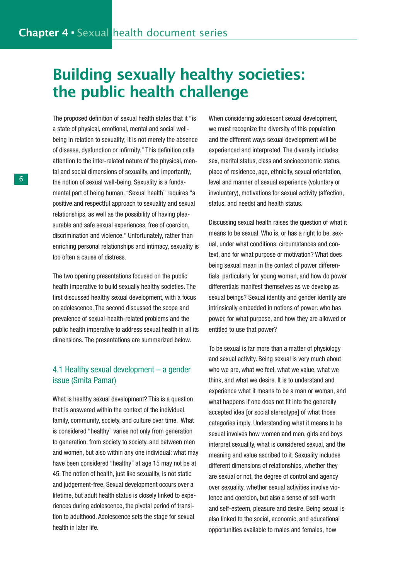# Building sexually healthy societies: the public health challenge

The proposed definition of sexual health states that it "is a state of physical, emotional, mental and social wellbeing in relation to sexuality; it is not merely the absence of disease, dysfunction or infirmity." This definition calls attention to the inter-related nature of the physical, mental and social dimensions of sexuality, and importantly, the notion of sexual well-being. Sexuality is a fundamental part of being human. "Sexual health" requires "a positive and respectful approach to sexuality and sexual relationships, as well as the possibility of having pleasurable and safe sexual experiences, free of coercion, discrimination and violence." Unfortunately, rather than enriching personal relationships and intimacy, sexuality is too often a cause of distress.

The two opening presentations focused on the public health imperative to build sexually healthy societies. The first discussed healthy sexual development, with a focus on adolescence. The second discussed the scope and prevalence of sexual-health-related problems and the public health imperative to address sexual health in all its dimensions. The presentations are summarized below.

### 4.1 Healthy sexual development – a gender issue (Smita Pamar)

What is healthy sexual development? This is a question that is answered within the context of the individual, family, community, society, and culture over time. What is considered "healthy" varies not only from generation to generation, from society to society, and between men and women, but also within any one individual: what may have been considered "healthy" at age 15 may not be at 45. The notion of health, just like sexuality, is not static and judgement-free. Sexual development occurs over a lifetime, but adult health status is closely linked to experiences during adolescence, the pivotal period of transition to adulthood. Adolescence sets the stage for sexual health in later life.

When considering adolescent sexual development, we must recognize the diversity of this population and the different ways sexual development will be experienced and interpreted. The diversity includes sex, marital status, class and socioeconomic status, place of residence, age, ethnicity, sexual orientation, level and manner of sexual experience (voluntary or involuntary), motivations for sexual activity (affection, status, and needs) and health status.

Discussing sexual health raises the question of what it means to be sexual. Who is, or has a right to be, sexual, under what conditions, circumstances and context, and for what purpose or motivation? What does being sexual mean in the context of power differentials, particularly for young women, and how do power differentials manifest themselves as we develop as sexual beings? Sexual identity and gender identity are intrinsically embedded in notions of power: who has power, for what purpose, and how they are allowed or entitled to use that power?

To be sexual is far more than a matter of physiology and sexual activity. Being sexual is very much about who we are, what we feel, what we value, what we think, and what we desire. It is to understand and experience what it means to be a man or woman, and what happens if one does not fit into the generally accepted idea [or social stereotype] of what those categories imply. Understanding what it means to be sexual involves how women and men, girls and boys interpret sexuality, what is considered sexual, and the meaning and value ascribed to it. Sexuality includes different dimensions of relationships, whether they are sexual or not, the degree of control and agency over sexuality, whether sexual activities involve violence and coercion, but also a sense of self-worth and self-esteem, pleasure and desire. Being sexual is also linked to the social, economic, and educational opportunities available to males and females, how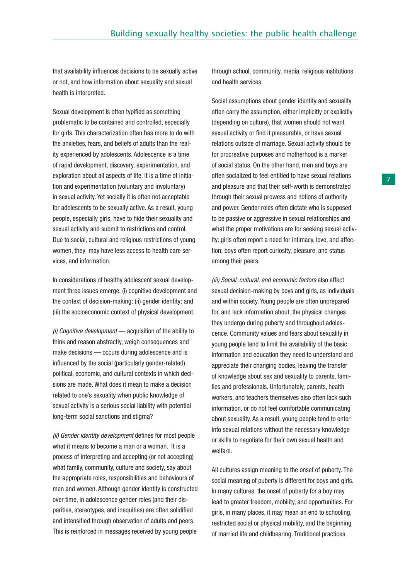that availability influences decisions to be sexually active or not, and how information about sexuality and sexual health is interpreted.

Sexual development is often typified as something problematic to be contained and controlled, especially for girls. This characterization often has more to do with the anxieties, fears, and beliefs of adults than the reality experienced by adolescents. Adolescence is a time of rapid development, discovery, experimentation, and exploration about all aspects of life. It is a time of initiation and experimentation (voluntary and involuntary) in sexual activity. Yet socially it is often not acceptable for adolescents to be sexually active. As a result, young people, especially girls, have to hide their sexuality and sexual activity and submit to restrictions and control. Due to social, cultural and religious restrictions of young women, they may have less access to health care services, and information.

In considerations of healthy adolescent sexual development three issues emerge: (i) cognitive development and the context of decision-making; (ii) gender identity; and (iii) the socioeconomic context of physical development.

(i) Cognitive development — acquisition of the ability to think and reason abstractly, weigh consequences and make decisions — occurs during adolescence and is influenced by the social (particularly gender-related), political, economic, and cultural contexts in which decisions are made. What does it mean to make a decision related to one's sexuality when public knowledge of sexual activity is a serious social liability with potential long-term social sanctions and stigma?

(ii) Gender identity development defines for most people what it means to become a man or a woman. It is a process of interpreting and accepting (or not accepting) what family, community, culture and society, say about the appropriate roles, responsibilities and behaviours of men and women. Although gender identity is constructed over time, in adolescence gender roles (and their disparities, stereotypes, and inequities) are often solidified and intensified through observation of adults and peers. This is reinforced in messages received by young people

through school, community, media, religious institutions and health services.

Social assumptions about gender identity and sexuality often carry the assumption, either implicitly or explicitly (depending on culture), that women should not want sexual activity or find it pleasurable, or have sexual relations outside of marriage. Sexual activity should be for procreative purposes and motherhood is a marker of social status. On the other hand, men and boys are often socialized to feel entitled to have sexual relations and pleasure and that their self-worth is demonstrated through their sexual prowess and notions of authority and power. Gender roles often dictate who is supposed to be passive or aggressive in sexual relationships and what the proper motivations are for seeking sexual activity: girls often report a need for intimacy, love, and affection; boys often report curiosity, pleasure, and status among their peers.

(iii) Social, cultural, and economic factors also affect sexual decision-making by boys and girls, as individuals and within society. Young people are often unprepared for, and lack information about, the physical changes they undergo during puberty and throughout adolescence. Community values and fears about sexuality in young people tend to limit the availability of the basic information and education they need to understand and appreciate their changing bodies, leaving the transfer of knowledge about sex and sexuality to parents, families and professionals. Unfortunately, parents, health workers, and teachers themselves also often lack such information, or do not feel comfortable communicating about sexuality. As a result, young people tend to enter into sexual relations without the necessary knowledge or skills to negotiate for their own sexual health and welfare.

All cultures assign meaning to the onset of puberty. The social meaning of puberty is different for boys and girls. In many cultures, the onset of puberty for a boy may lead to greater freedom, mobility, and opportunities. For girls, in many places, it may mean an end to schooling, restricted social or physical mobility, and the beginning of married life and childbearing. Traditional practices,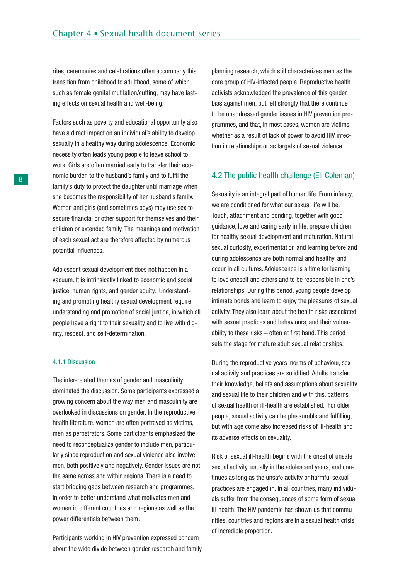rites, ceremonies and celebrations often accompany this transition from childhood to adulthood, some of which, such as female genital mutilation/cutting, may have lasting effects on sexual health and well-being.

Factors such as poverty and educational opportunity also have a direct impact on an individual's ability to develop sexually in a healthy way during adolescence. Economic necessity often leads young people to leave school to work. Girls are often married early to transfer their economic burden to the husband's family and to fulfil the family's duty to protect the daughter until marriage when she becomes the responsibility of her husband's family. Women and girls (and sometimes boys) may use sex to secure financial or other support for themselves and their children or extended family. The meanings and motivation of each sexual act are therefore affected by numerous potential influences.

Adolescent sexual development does not happen in a vacuum. It is intrinsically linked to economic and social justice, human rights, and gender equity. Understanding and promoting healthy sexual development require understanding and promotion of social justice, in which all people have a right to their sexuality and to live with dignity, respect, and self-determination.

#### 4.1.1 Discussion

The inter-related themes of gender and masculinity dominated the discussion. Some participants expressed a growing concern about the way men and masculinity are overlooked in discussions on gender. In the reproductive health literature, women are often portrayed as victims, men as perpetrators. Some participants emphasized the need to reconceptualize gender to include men, particularly since reproduction and sexual violence also involve men, both positively and negatively. Gender issues are not the same across and within regions. There is a need to start bridging gaps between research and programmes, in order to better understand what motivates men and women in different countries and regions as well as the power differentials between them.

Participants working in HIV prevention expressed concern about the wide divide between gender research and family planning research, which still characterizes men as the core group of HIV-infected people. Reproductive health activists acknowledged the prevalence of this gender bias against men, but felt strongly that there continue to be unaddressed gender issues in HIV prevention programmes, and that, in most cases, women are victims, whether as a result of lack of power to avoid HIV infection in relationships or as targets of sexual violence.

#### 4.2 The public health challenge (Eli Coleman)

Sexuality is an integral part of human life. From infancy, we are conditioned for what our sexual life will be. Touch, attachment and bonding, together with good guidance, love and caring early in life, prepare children for healthy sexual development and maturation. Natural sexual curiosity, experimentation and learning before and during adolescence are both normal and healthy, and occur in all cultures. Adolescence is a time for learning to love oneself and others and to be responsible in one's relationships. During this period, young people develop intimate bonds and learn to enjoy the pleasures of sexual activity. They also learn about the health risks associated with sexual practices and behaviours, and their vulnerability to these risks – often at first hand. This period sets the stage for mature adult sexual relationships.

During the reproductive years, norms of behaviour, sexual activity and practices are solidified. Adults transfer their knowledge, beliefs and assumptions about sexuality and sexual life to their children and with this, patterns of sexual health or ill-health are established. For older people, sexual activity can be pleasurable and fulfilling, but with age come also increased risks of ill-health and its adverse effects on sexuality.

Risk of sexual ill-health begins with the onset of unsafe sexual activity, usually in the adolescent years, and continues as long as the unsafe activity or harmful sexual practices are engaged in. In all countries, many individuals suffer from the consequences of some form of sexual ill-health. The HIV pandemic has shown us that communities, countries and regions are in a sexual health crisis of incredible proportion.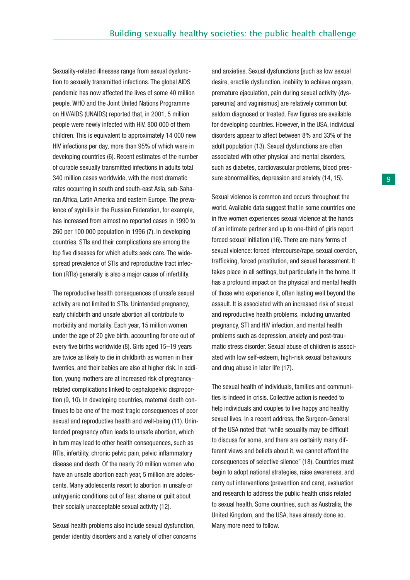Sexuality-related illnesses range from sexual dysfunction to sexually transmitted infections. The global AIDS pandemic has now affected the lives of some 40 million people. WHO and the Joint United Nations Programme on HIV/AIDS (UNAIDS) reported that, in 2001, 5 million people were newly infected with HIV, 800 000 of them children. This is equivalent to approximately 14 000 new HIV infections per day, more than 95% of which were in developing countries (6). Recent estimates of the number of curable sexually transmitted infections in adults total 340 million cases worldwide, with the most dramatic rates occurring in south and south-east Asia, sub-Saharan Africa, Latin America and eastern Europe. The prevalence of syphilis in the Russian Federation, for example, has increased from almost no reported cases in 1990 to 260 per 100 000 population in 1996 (7). In developing countries, STIs and their complications are among the top five diseases for which adults seek care. The widespread prevalence of STIs and reproductive tract infection (RTIs) generally is also a major cause of infertility.

The reproductive health consequences of unsafe sexual activity are not limited to STIs. Unintended pregnancy, early childbirth and unsafe abortion all contribute to morbidity and mortality. Each year, 15 million women under the age of 20 give birth, accounting for one out of every five births worldwide (8). Girls aged 15–19 years are twice as likely to die in childbirth as women in their twenties, and their babies are also at higher risk. In addition, young mothers are at increased risk of pregnancyrelated complications linked to cephalopelvic disproportion (9, 10). In developing countries, maternal death continues to be one of the most tragic consequences of poor sexual and reproductive health and well-being (11). Unintended pregnancy often leads to unsafe abortion, which in turn may lead to other health consequences, such as RTIs, infertility, chronic pelvic pain, pelvic inflammatory disease and death. Of the nearly 20 million women who have an unsafe abortion each year, 5 million are adolescents. Many adolescents resort to abortion in unsafe or unhygienic conditions out of fear, shame or guilt about their socially unacceptable sexual activity (12).

Sexual health problems also include sexual dysfunction, gender identity disorders and a variety of other concerns and anxieties. Sexual dysfunctions [such as low sexual desire, erectile dysfunction, inability to achieve orgasm, premature ejaculation, pain during sexual activity (dyspareunia) and vaginismus] are relatively common but seldom diagnosed or treated. Few figures are available for developing countries. However, in the USA, individual disorders appear to affect between 8% and 33% of the adult population (13). Sexual dysfunctions are often associated with other physical and mental disorders, such as diabetes, cardiovascular problems, blood pressure abnormalities, depression and anxiety (14, 15).

Sexual violence is common and occurs throughout the world. Available data suggest that in some countries one in five women experiences sexual violence at the hands of an intimate partner and up to one-third of girls report forced sexual initiation (16). There are many forms of sexual violence: forced intercourse/rape, sexual coercion, trafficking, forced prostitution, and sexual harassment. It takes place in all settings, but particularly in the home. It has a profound impact on the physical and mental health of those who experience it, often lasting well beyond the assault. It is associated with an increased risk of sexual and reproductive health problems, including unwanted pregnancy, STI and HIV infection, and mental health problems such as depression, anxiety and post-traumatic stress disorder. Sexual abuse of children is associated with low self-esteem, high-risk sexual behaviours and drug abuse in later life (17).

The sexual health of individuals, families and communities is indeed in crisis. Collective action is needed to help individuals and couples to live happy and healthy sexual lives. In a recent address, the Surgeon-General of the USA noted that "while sexuality may be difficult to discuss for some, and there are certainly many different views and beliefs about it, we cannot afford the consequences of selective silence" (18). Countries must begin to adopt national strategies, raise awareness, and carry out interventions (prevention and care), evaluation and research to address the public health crisis related to sexual health. Some countries, such as Australia, the United Kingdom, and the USA, have already done so. Many more need to follow.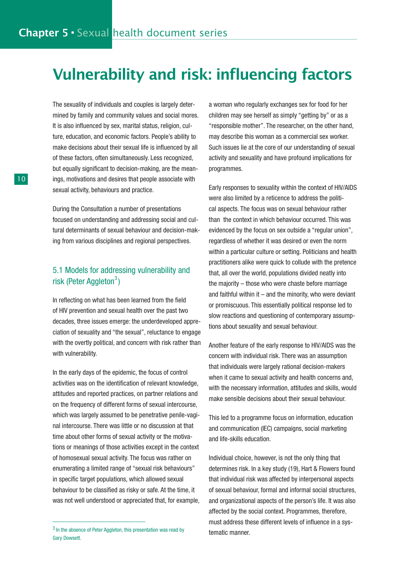# Vulnerability and risk: influencing factors

The sexuality of individuals and couples is largely determined by family and community values and social mores. It is also influenced by sex, marital status, religion, culture, education, and economic factors. People's ability to make decisions about their sexual life is influenced by all of these factors, often simultaneously. Less recognized, but equally significant to decision-making, are the meanings, motivations and desires that people associate with sexual activity, behaviours and practice.

During the Consultation a number of presentations focused on understanding and addressing social and cultural determinants of sexual behaviour and decision-making from various disciplines and regional perspectives.

### 5.1 Models for addressing vulnerability and risk (Peter Aggleton<sup>3</sup>)

In reflecting on what has been learned from the field of HIV prevention and sexual health over the past two decades, three issues emerge: the underdeveloped appreciation of sexuality and "the sexual", reluctance to engage with the overtly political, and concern with risk rather than with vulnerability.

In the early days of the epidemic, the focus of control activities was on the identification of relevant knowledge, attitudes and reported practices, on partner relations and on the frequency of different forms of sexual intercourse, which was largely assumed to be penetrative penile-vaginal intercourse. There was little or no discussion at that time about other forms of sexual activity or the motivations or meanings of those activities except in the context of homosexual sexual activity. The focus was rather on enumerating a limited range of "sexual risk behaviours" in specific target populations, which allowed sexual behaviour to be classified as risky or safe. At the time, it was not well understood or appreciated that, for example, a woman who regularly exchanges sex for food for her children may see herself as simply "getting by" or as a "responsible mother". The researcher, on the other hand, may describe this woman as a commercial sex worker. Such issues lie at the core of our understanding of sexual activity and sexuality and have profound implications for programmes.

Early responses to sexuality within the context of HIV/AIDS were also limited by a reticence to address the political aspects. The focus was on sexual behaviour rather than the context in which behaviour occurred. This was evidenced by the focus on sex outside a "regular union", regardless of whether it was desired or even the norm within a particular culture or setting. Politicians and health practitioners alike were quick to collude with the pretence that, all over the world, populations divided neatly into the majority – those who were chaste before marriage and faithful within it  $-$  and the minority, who were deviant or promiscuous. This essentially political response led to slow reactions and questioning of contemporary assumptions about sexuality and sexual behaviour.

Another feature of the early response to HIV/AIDS was the concern with individual risk. There was an assumption that individuals were largely rational decision-makers when it came to sexual activity and health concerns and, with the necessary information, attitudes and skills, would make sensible decisions about their sexual behaviour.

This led to a programme focus on information, education and communication (IEC) campaigns, social marketing and life-skills education.

Individual choice, however, is not the only thing that determines risk. In a key study (19), Hart & Flowers found that individual risk was affected by interpersonal aspects of sexual behaviour, formal and informal social structures, and organizational aspects of the person's life. It was also affected by the social context. Programmes, therefore, must address these different levels of influence in a systematic manner.

<sup>&</sup>lt;sup>3</sup> In the absence of Peter Aggleton, this presentation was read by Gary Dowsett.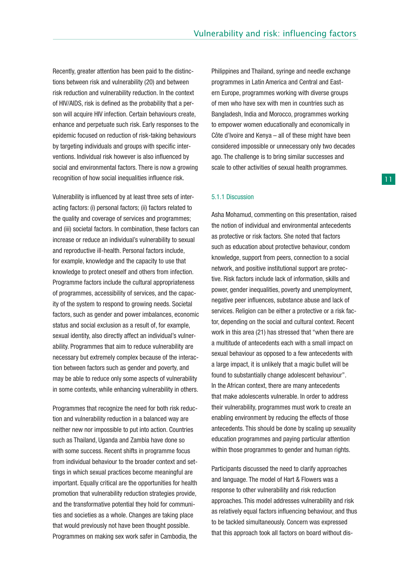Recently, greater attention has been paid to the distinctions between risk and vulnerability (20) and between risk reduction and vulnerability reduction. In the context of HIV/AIDS, risk is defined as the probability that a person will acquire HIV infection. Certain behaviours create, enhance and perpetuate such risk. Early responses to the epidemic focused on reduction of risk-taking behaviours by targeting individuals and groups with specific interventions. Individual risk however is also influenced by social and environmental factors. There is now a growing recognition of how social inequalities influence risk.

Vulnerability is influenced by at least three sets of interacting factors: (i) personal factors; (ii) factors related to the quality and coverage of services and programmes; and (iii) societal factors. In combination, these factors can increase or reduce an individual's vulnerability to sexual and reproductive ill-health. Personal factors include, for example, knowledge and the capacity to use that knowledge to protect oneself and others from infection. Programme factors include the cultural appropriateness of programmes, accessibility of services, and the capacity of the system to respond to growing needs. Societal factors, such as gender and power imbalances, economic status and social exclusion as a result of, for example, sexual identity, also directly affect an individual's vulnerability. Programmes that aim to reduce vulnerability are necessary but extremely complex because of the interaction between factors such as gender and poverty, and may be able to reduce only some aspects of vulnerability in some contexts, while enhancing vulnerability in others.

Programmes that recognize the need for both risk reduction and vulnerability reduction in a balanced way are neither new nor impossible to put into action. Countries such as Thailand, Uganda and Zambia have done so with some success. Recent shifts in programme focus from individual behaviour to the broader context and settings in which sexual practices become meaningful are important. Equally critical are the opportunities for health promotion that vulnerability reduction strategies provide, and the transformative potential they hold for communities and societies as a whole. Changes are taking place that would previously not have been thought possible. Programmes on making sex work safer in Cambodia, the Philippines and Thailand, syringe and needle exchange programmes in Latin America and Central and Eastern Europe, programmes working with diverse groups of men who have sex with men in countries such as Bangladesh, India and Morocco, programmes working to empower women educationally and economically in Côte d'Ivoire and Kenya – all of these might have been considered impossible or unnecessary only two decades ago. The challenge is to bring similar successes and scale to other activities of sexual health programmes.

#### 5.1.1 Discussion

Asha Mohamud, commenting on this presentation, raised the notion of individual and environmental antecedents as protective or risk factors. She noted that factors such as education about protective behaviour, condom knowledge, support from peers, connection to a social network, and positive institutional support are protective. Risk factors include lack of information, skills and power, gender inequalities, poverty and unemployment, negative peer influences, substance abuse and lack of services. Religion can be either a protective or a risk factor, depending on the social and cultural context. Recent work in this area (21) has stressed that "when there are a multitude of antecedents each with a small impact on sexual behaviour as opposed to a few antecedents with a large impact, it is unlikely that a magic bullet will be found to substantially change adolescent behaviour". In the African context, there are many antecedents that make adolescents vulnerable. In order to address their vulnerability, programmes must work to create an enabling environment by reducing the effects of those antecedents. This should be done by scaling up sexuality education programmes and paying particular attention within those programmes to gender and human rights.

Participants discussed the need to clarify approaches and language. The model of Hart & Flowers was a response to other vulnerability and risk reduction approaches. This model addresses vulnerability and risk as relatively equal factors influencing behaviour, and thus to be tackled simultaneously. Concern was expressed that this approach took all factors on board without dis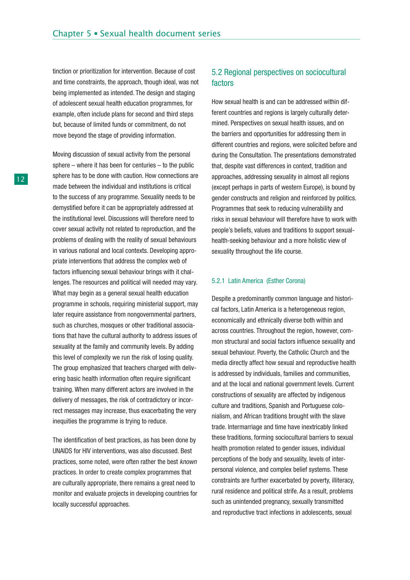tinction or prioritization for intervention. Because of cost and time constraints, the approach, though ideal, was not being implemented as intended. The design and staging of adolescent sexual health education programmes, for example, often include plans for second and third steps but, because of limited funds or commitment, do not move beyond the stage of providing information.

Moving discussion of sexual activity from the personal sphere – where it has been for centuries – to the public sphere has to be done with caution. How connections are made between the individual and institutions is critical to the success of any programme. Sexuality needs to be demystified before it can be appropriately addressed at the institutional level. Discussions will therefore need to cover sexual activity not related to reproduction, and the problems of dealing with the reality of sexual behaviours in various national and local contexts. Developing appropriate interventions that address the complex web of factors influencing sexual behaviour brings with it challenges. The resources and political will needed may vary. What may begin as a general sexual health education programme in schools, requiring ministerial support, may later require assistance from nongovernmental partners, such as churches, mosques or other traditional associations that have the cultural authority to address issues of sexuality at the family and community levels. By adding this level of complexity we run the risk of losing quality. The group emphasized that teachers charged with delivering basic health information often require significant training. When many different actors are involved in the delivery of messages, the risk of contradictory or incorrect messages may increase, thus exacerbating the very inequities the programme is trying to reduce.

The identification of best practices, as has been done by UNAIDS for HIV interventions, was also discussed. Best practices, some noted, were often rather the best known practices. In order to create complex programmes that are culturally appropriate, there remains a great need to monitor and evaluate projects in developing countries for locally successful approaches.

### 5.2 Regional perspectives on sociocultural factors

How sexual health is and can be addressed within different countries and regions is largely culturally determined. Perspectives on sexual health issues, and on the barriers and opportunities for addressing them in different countries and regions, were solicited before and during the Consultation. The presentations demonstrated that, despite vast differences in context, tradition and approaches, addressing sexuality in almost all regions (except perhaps in parts of western Europe), is bound by gender constructs and religion and reinforced by politics. Programmes that seek to reducing vulnerability and risks in sexual behaviour will therefore have to work with people's beliefs, values and traditions to support sexualhealth-seeking behaviour and a more holistic view of sexuality throughout the life course.

#### 5.2.1 Latin America (Esther Corona)

Despite a predominantly common language and historical factors, Latin America is a heterogeneous region, economically and ethnically diverse both within and across countries. Throughout the region, however, common structural and social factors influence sexuality and sexual behaviour. Poverty, the Catholic Church and the media directly affect how sexual and reproductive health is addressed by individuals, families and communities, and at the local and national government levels. Current constructions of sexuality are affected by indigenous culture and traditions, Spanish and Portuguese colonialism, and African traditions brought with the slave trade. Intermarriage and time have inextricably linked these traditions, forming sociocultural barriers to sexual health promotion related to gender issues, individual perceptions of the body and sexuality, levels of interpersonal violence, and complex belief systems. These constraints are further exacerbated by poverty, illiteracy, rural residence and political strife. As a result, problems such as unintended pregnancy, sexually transmitted and reproductive tract infections in adolescents, sexual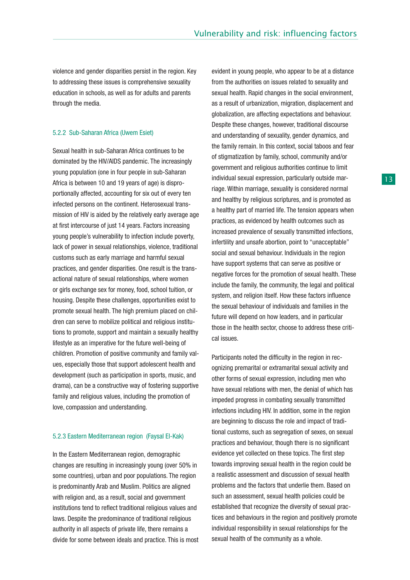violence and gender disparities persist in the region. Key to addressing these issues is comprehensive sexuality education in schools, as well as for adults and parents through the media.

#### 5.2.2 Sub-Saharan Africa (Uwem Esiet)

Sexual health in sub-Saharan Africa continues to be dominated by the HIV/AIDS pandemic. The increasingly young population (one in four people in sub-Saharan Africa is between 10 and 19 years of age) is disproportionally affected, accounting for six out of every ten infected persons on the continent. Heterosexual transmission of HIV is aided by the relatively early average age at first intercourse of just 14 years. Factors increasing young people's vulnerability to infection include poverty, lack of power in sexual relationships, violence, traditional customs such as early marriage and harmful sexual practices, and gender disparities. One result is the transactional nature of sexual relationships, where women or girls exchange sex for money, food, school tuition, or housing. Despite these challenges, opportunities exist to promote sexual health. The high premium placed on children can serve to mobilize political and religious institutions to promote, support and maintain a sexually healthy lifestyle as an imperative for the future well-being of children. Promotion of positive community and family values, especially those that support adolescent health and development (such as participation in sports, music, and drama), can be a constructive way of fostering supportive family and religious values, including the promotion of love, compassion and understanding.

#### 5.2.3 Eastern Mediterranean region (Faysal El-Kak)

In the Eastern Mediterranean region, demographic changes are resulting in increasingly young (over 50% in some countries), urban and poor populations. The region is predominantly Arab and Muslim. Politics are aligned with religion and, as a result, social and government institutions tend to reflect traditional religious values and laws. Despite the predominance of traditional religious authority in all aspects of private life, there remains a divide for some between ideals and practice. This is most evident in young people, who appear to be at a distance from the authorities on issues related to sexuality and sexual health. Rapid changes in the social environment, as a result of urbanization, migration, displacement and globalization, are affecting expectations and behaviour. Despite these changes, however, traditional discourse and understanding of sexuality, gender dynamics, and the family remain. In this context, social taboos and fear of stigmatization by family, school, community and/or government and religious authorities continue to limit individual sexual expression, particularly outside marriage. Within marriage, sexuality is considered normal and healthy by religious scriptures, and is promoted as a healthy part of married life. The tension appears when practices, as evidenced by health outcomes such as increased prevalence of sexually transmitted infections, infertility and unsafe abortion, point to "unacceptable" social and sexual behaviour. Individuals in the region have support systems that can serve as positive or negative forces for the promotion of sexual health. These include the family, the community, the legal and political system, and religion itself. How these factors influence the sexual behaviour of individuals and families in the future will depend on how leaders, and in particular those in the health sector, choose to address these critical issues.

Participants noted the difficulty in the region in recognizing premarital or extramarital sexual activity and other forms of sexual expression, including men who have sexual relations with men, the denial of which has impeded progress in combating sexually transmitted infections including HIV. In addition, some in the region are beginning to discuss the role and impact of traditional customs, such as segregation of sexes, on sexual practices and behaviour, though there is no significant evidence yet collected on these topics. The first step towards improving sexual health in the region could be a realistic assessment and discussion of sexual health problems and the factors that underlie them. Based on such an assessment, sexual health policies could be established that recognize the diversity of sexual practices and behaviours in the region and positively promote individual responsibility in sexual relationships for the sexual health of the community as a whole.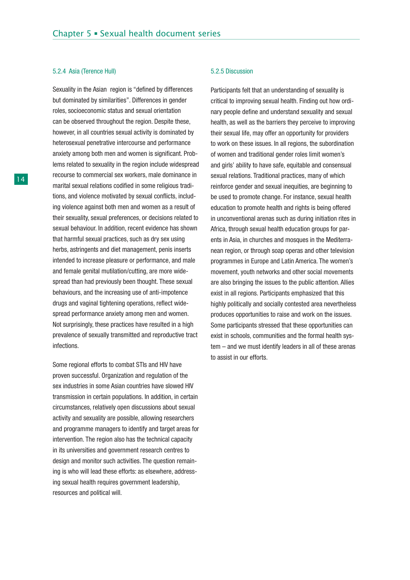#### 5.2.4 Asia (Terence Hull)

Sexuality in the Asian region is "defined by differences but dominated by similarities". Differences in gender roles, socioeconomic status and sexual orientation can be observed throughout the region. Despite these, however, in all countries sexual activity is dominated by heterosexual penetrative intercourse and performance anxiety among both men and women is significant. Problems related to sexuality in the region include widespread recourse to commercial sex workers, male dominance in marital sexual relations codified in some religious traditions, and violence motivated by sexual conflicts, including violence against both men and women as a result of their sexuality, sexual preferences, or decisions related to sexual behaviour. In addition, recent evidence has shown that harmful sexual practices, such as dry sex using herbs, astringents and diet management, penis inserts intended to increase pleasure or performance, and male and female genital mutilation/cutting, are more widespread than had previously been thought. These sexual behaviours, and the increasing use of anti-impotence drugs and vaginal tightening operations, reflect widespread performance anxiety among men and women. Not surprisingly, these practices have resulted in a high prevalence of sexually transmitted and reproductive tract infections.

Some regional efforts to combat STIs and HIV have proven successful. Organization and regulation of the sex industries in some Asian countries have slowed HIV transmission in certain populations. In addition, in certain circumstances, relatively open discussions about sexual activity and sexuality are possible, allowing researchers and programme managers to identify and target areas for intervention. The region also has the technical capacity in its universities and government research centres to design and monitor such activities. The question remaining is who will lead these efforts: as elsewhere, addressing sexual health requires government leadership, resources and political will.

#### 5.2.5 Discussion

Participants felt that an understanding of sexuality is critical to improving sexual health. Finding out how ordinary people define and understand sexuality and sexual health, as well as the barriers they perceive to improving their sexual life, may offer an opportunity for providers to work on these issues. In all regions, the subordination of women and traditional gender roles limit women's and girls' ability to have safe, equitable and consensual sexual relations. Traditional practices, many of which reinforce gender and sexual inequities, are beginning to be used to promote change. For instance, sexual health education to promote health and rights is being offered in unconventional arenas such as during initiation rites in Africa, through sexual health education groups for parents in Asia, in churches and mosques in the Mediterranean region, or through soap operas and other television programmes in Europe and Latin America. The women's movement, youth networks and other social movements are also bringing the issues to the public attention. Allies exist in all regions. Participants emphasized that this highly politically and socially contested area nevertheless produces opportunities to raise and work on the issues. Some participants stressed that these opportunities can exist in schools, communities and the formal health system – and we must identify leaders in all of these arenas to assist in our efforts.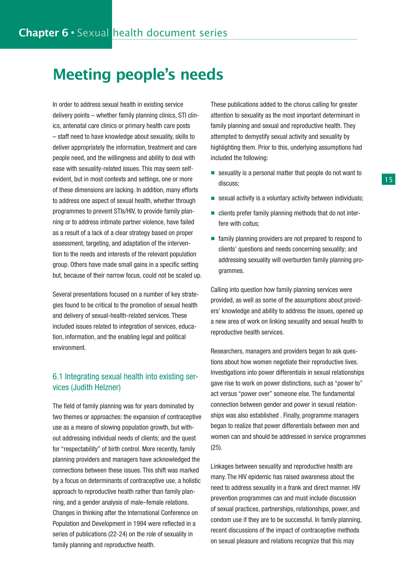### Meeting people's needs

In order to address sexual health in existing service delivery points – whether family planning clinics, STI clinics, antenatal care clinics or primary health care posts – staff need to have knowledge about sexuality, skills to deliver appropriately the information, treatment and care people need, and the willingness and ability to deal with ease with sexuality-related issues. This may seem selfevident, but in most contexts and settings, one or more of these dimensions are lacking. In addition, many efforts to address one aspect of sexual health, whether through programmes to prevent STIs/HIV, to provide family planning or to address intimate partner violence, have failed as a result of a lack of a clear strategy based on proper assessment, targeting, and adaptation of the intervention to the needs and interests of the relevant population group. Others have made small gains in a specific setting but, because of their narrow focus, could not be scaled up.

Several presentations focused on a number of key strategies found to be critical to the promotion of sexual health and delivery of sexual-health-related services. These included issues related to integration of services, education, information, and the enabling legal and political environment.

### 6.1 Integrating sexual health into existing services (Judith Helzner)

The field of family planning was for years dominated by two themes or approaches: the expansion of contraceptive use as a means of slowing population growth, but without addressing individual needs of clients; and the quest for "respectability" of birth control. More recently, family planning providers and managers have acknowledged the connections between these issues. This shift was marked by a focus on determinants of contraceptive use, a holistic approach to reproductive health rather than family planning, and a gender analysis of male–female relations. Changes in thinking after the International Conference on Population and Development in 1994 were reflected in a series of publications (22-24) on the role of sexuality in family planning and reproductive health.

These publications added to the chorus calling for greater attention to sexuality as the most important determinant in family planning and sexual and reproductive health. They attempted to demystify sexual activity and sexuality by highlighting them. Prior to this, underlying assumptions had included the following:

- sexuality is a personal matter that people do not want to discuss;
- sexual activity is a voluntary activity between individuals;
- clients prefer family planning methods that do not interfere with coitus;
- family planning providers are not prepared to respond to clients' questions and needs concerning sexuality; and addressing sexuality will overburden family planning programmes.

Calling into question how family planning services were provided, as well as some of the assumptions about providers' knowledge and ability to address the issues, opened up a new area of work on linking sexuality and sexual health to reproductive health services.

Researchers, managers and providers began to ask questions about how women negotiate their reproductive lives. Investigations into power differentials in sexual relationships gave rise to work on power distinctions, such as "power to" act versus "power over" someone else. The fundamental connection between gender and power in sexual relationships was also established . Finally, programme managers began to realize that power differentials between men and women can and should be addressed in service programmes (25).

Linkages between sexuality and reproductive health are many. The HIV epidemic has raised awareness about the need to address sexuality in a frank and direct manner. HIV prevention programmes can and must include discussion of sexual practices, partnerships, relationships, power, and condom use if they are to be successful. In family planning, recent discussions of the impact of contraceptive methods on sexual pleasure and relations recognize that this may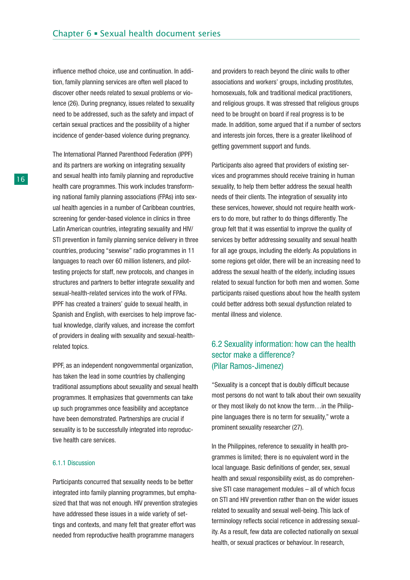influence method choice, use and continuation. In addition, family planning services are often well placed to discover other needs related to sexual problems or violence (26). During pregnancy, issues related to sexuality need to be addressed, such as the safety and impact of certain sexual practices and the possibility of a higher incidence of gender-based violence during pregnancy.

The International Planned Parenthood Federation (IPPF) and its partners are working on integrating sexuality and sexual health into family planning and reproductive health care programmes. This work includes transforming national family planning associations (FPAs) into sexual health agencies in a number of Caribbean countries, screening for gender-based violence in clinics in three Latin American countries, integrating sexuality and HIV/ STI prevention in family planning service delivery in three countries, producing "sexwise" radio programmes in 11 languages to reach over 60 million listeners, and pilottesting projects for staff, new protocols, and changes in structures and partners to better integrate sexuality and sexual-health-related services into the work of FPAs. IPPF has created a trainers' guide to sexual health, in Spanish and English, with exercises to help improve factual knowledge, clarify values, and increase the comfort of providers in dealing with sexuality and sexual-healthrelated topics.

IPPF, as an independent nongovernmental organization, has taken the lead in some countries by challenging traditional assumptions about sexuality and sexual health programmes. It emphasizes that governments can take up such programmes once feasibility and acceptance have been demonstrated. Partnerships are crucial if sexuality is to be successfully integrated into reproductive health care services.

#### 6.1.1 Discussion

Participants concurred that sexuality needs to be better integrated into family planning programmes, but emphasized that that was not enough. HIV prevention strategies have addressed these issues in a wide variety of settings and contexts, and many felt that greater effort was needed from reproductive health programme managers

and providers to reach beyond the clinic walls to other associations and workers' groups, including prostitutes, homosexuals, folk and traditional medical practitioners, and religious groups. It was stressed that religious groups need to be brought on board if real progress is to be made. In addition, some argued that if a number of sectors and interests join forces, there is a greater likelihood of getting government support and funds.

Participants also agreed that providers of existing services and programmes should receive training in human sexuality, to help them better address the sexual health needs of their clients. The integration of sexuality into these services, however, should not require health workers to do more, but rather to do things differently. The group felt that it was essential to improve the quality of services by better addressing sexuality and sexual health for all age groups, including the elderly. As populations in some regions get older, there will be an increasing need to address the sexual health of the elderly, including issues related to sexual function for both men and women. Some participants raised questions about how the health system could better address both sexual dysfunction related to mental illness and violence.

### 6.2 Sexuality information: how can the health sector make a difference? (Pilar Ramos-Jimenez)

"Sexuality is a concept that is doubly difficult because most persons do not want to talk about their own sexuality or they most likely do not know the term…in the Philippine languages there is no term for sexuality," wrote a prominent sexuality researcher (27).

In the Philippines, reference to sexuality in health programmes is limited; there is no equivalent word in the local language. Basic definitions of gender, sex, sexual health and sexual responsibility exist, as do comprehensive STI case management modules – all of which focus on STI and HIV prevention rather than on the wider issues related to sexuality and sexual well-being. This lack of terminology reflects social reticence in addressing sexuality. As a result, few data are collected nationally on sexual health, or sexual practices or behaviour. In research,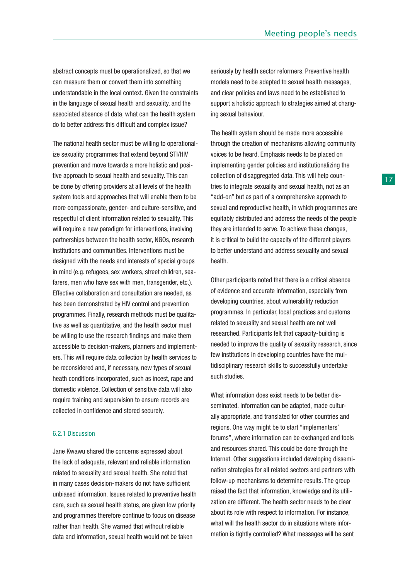abstract concepts must be operationalized, so that we can measure them or convert them into something understandable in the local context. Given the constraints in the language of sexual health and sexuality, and the associated absence of data, what can the health system do to better address this difficult and complex issue?

The national health sector must be willing to operationalize sexuality programmes that extend beyond STI/HIV prevention and move towards a more holistic and positive approach to sexual health and sexuality. This can be done by offering providers at all levels of the health system tools and approaches that will enable them to be more compassionate, gender- and culture-sensitive, and respectful of client information related to sexuality. This will require a new paradigm for interventions, involving partnerships between the health sector, NGOs, research institutions and communities. Interventions must be designed with the needs and interests of special groups in mind (e.g. refugees, sex workers, street children, seafarers, men who have sex with men, transgender, etc.). Effective collaboration and consultation are needed, as has been demonstrated by HIV control and prevention programmes. Finally, research methods must be qualitative as well as quantitative, and the health sector must be willing to use the research findings and make them accessible to decision-makers, planners and implementers. This will require data collection by health services to be reconsidered and, if necessary, new types of sexual heath conditions incorporated, such as incest, rape and domestic violence. Collection of sensitive data will also require training and supervision to ensure records are collected in confidence and stored securely.

#### 6.2.1 Discussion

Jane Kwawu shared the concerns expressed about the lack of adequate, relevant and reliable information related to sexuality and sexual health. She noted that in many cases decision-makers do not have sufficient unbiased information. Issues related to preventive health care, such as sexual health status, are given low priority and programmes therefore continue to focus on disease rather than health. She warned that without reliable data and information, sexual health would not be taken

seriously by health sector reformers. Preventive health models need to be adapted to sexual health messages, and clear policies and laws need to be established to support a holistic approach to strategies aimed at changing sexual behaviour.

The health system should be made more accessible through the creation of mechanisms allowing community voices to be heard. Emphasis needs to be placed on implementing gender policies and institutionalizing the collection of disaggregated data. This will help countries to integrate sexuality and sexual health, not as an "add-on" but as part of a comprehensive approach to sexual and reproductive health, in which programmes are equitably distributed and address the needs of the people they are intended to serve. To achieve these changes, it is critical to build the capacity of the different players to better understand and address sexuality and sexual health.

Other participants noted that there is a critical absence of evidence and accurate information, especially from developing countries, about vulnerability reduction programmes. In particular, local practices and customs related to sexuality and sexual health are not well researched. Participants felt that capacity-building is needed to improve the quality of sexuality research, since few institutions in developing countries have the multidisciplinary research skills to successfully undertake such studies.

What information does exist needs to be better disseminated. Information can be adapted, made culturally appropriate, and translated for other countries and regions. One way might be to start "implementers' forums", where information can be exchanged and tools and resources shared. This could be done through the Internet. Other suggestions included developing dissemination strategies for all related sectors and partners with follow-up mechanisms to determine results. The group raised the fact that information, knowledge and its utilization are different. The health sector needs to be clear about its role with respect to information. For instance, what will the health sector do in situations where information is tightly controlled? What messages will be sent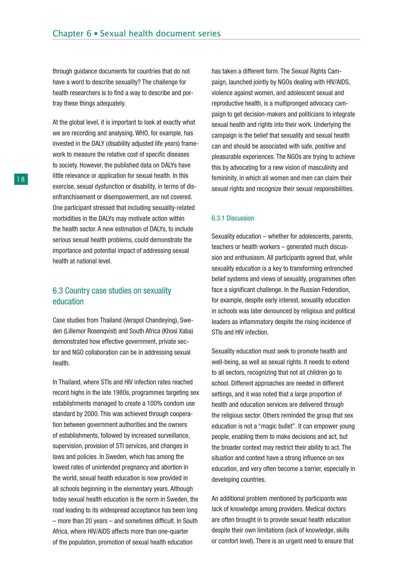through guidance documents for countries that do not have a word to describe sexuality? The challenge for health researchers is to find a way to describe and portray these things adequately.

At the global level, it is important to look at exactly what we are recording and analysing. WHO, for example, has invested in the DALY (disability adjusted life years) framework to measure the relative cost of specific diseases to society. However, the published data on DALYs have little relevance or application for sexual health. In this exercise, sexual dysfunction or disability, in terms of disenfranchisement or disempowerment, are not covered. One participant stressed that including sexuality-related morbidities in the DALYs may motivate action within the health sector. A new estimation of DALYs, to include serious sexual health problems, could demonstrate the importance and potential impact of addressing sexual health at national level.

### 6.3 Country case studies on sexuality education

Case studies from Thailand (Verapol Chandeying), Sweden (Lillemor Rosenqvist) and South Africa (Khosi Xaba) demonstrated how effective government, private sector and NGO collaboration can be in addressing sexual health.

In Thailand, where STIs and HIV infection rates reached record highs in the late 1980s, programmes targeting sex establishments managed to create a 100% condom use standard by 2000. This was achieved through cooperation between government authorities and the owners of establishments, followed by increased surveillance, supervision, provision of STI services, and changes in laws and policies. In Sweden, which has among the lowest rates of unintended pregnancy and abortion in the world, sexual health education is now provided in all schools beginning in the elementary years. Although today sexual health education is the norm in Sweden, the road leading to its widespread acceptance has been long – more than 20 years – and sometimes difficult. In South Africa, where HIV/AIDS affects more than one-quarter of the population, promotion of sexual health education

has taken a different form. The Sexual Rights Campaign, launched jointly by NGOs dealing with HIV/AIDS, violence against women, and adolescent sexual and reproductive health, is a multipronged advocacy campaign to get decision-makers and politicians to integrate sexual health and rights into their work. Underlying the campaign is the belief that sexuality and sexual health can and should be associated with safe, positive and pleasurable experiences. The NGOs are trying to achieve this by advocating for a new vision of masculinity and femininity, in which all women and men can claim their sexual rights and recognize their sexual responsibilities.

#### 6.3.1 Discussion

Sexuality education – whether for adolescents, parents, teachers or health workers – generated much discussion and enthusiasm. All participants agreed that, while sexuality education is a key to transforming entrenched belief systems and views of sexuality, programmes often face a significant challenge. In the Russian Federation, for example, despite early interest, sexuality education in schools was later denounced by religious and political leaders as inflammatory despite the rising incidence of STIs and HIV infection.

Sexuality education must seek to promote health and well-being, as well as sexual rights. It needs to extend to all sectors, recognizing that not all children go to school. Different approaches are needed in different settings, and it was noted that a large proportion of health and education services are delivered through the religious sector. Others reminded the group that sex education is not a "magic bullet". It can empower young people, enabling them to make decisions and act, but the broader context may restrict their ability to act. The situation and context have a strong influence on sex education, and very often become a barrier, especially in developing countries.

An additional problem mentioned by participants was lack of knowledge among providers. Medical doctors are often brought in to provide sexual health education despite their own limitations (lack of knowledge, skills or comfort level). There is an urgent need to ensure that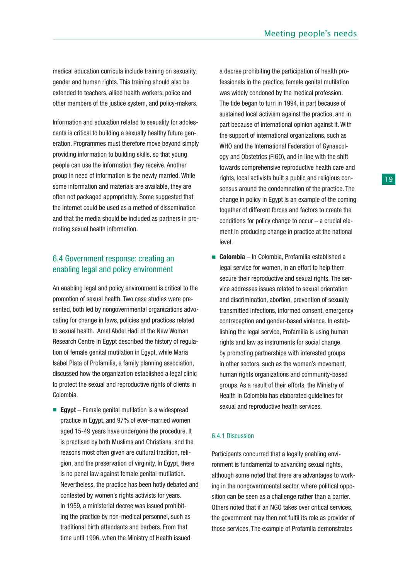medical education curricula include training on sexuality, gender and human rights. This training should also be extended to teachers, allied health workers, police and other members of the justice system, and policy-makers.

Information and education related to sexuality for adolescents is critical to building a sexually healthy future generation. Programmes must therefore move beyond simply providing information to building skills, so that young people can use the information they receive. Another group in need of information is the newly married. While some information and materials are available, they are often not packaged appropriately. Some suggested that the Internet could be used as a method of dissemination and that the media should be included as partners in promoting sexual health information.

### 6.4 Government response: creating an enabling legal and policy environment

An enabling legal and policy environment is critical to the promotion of sexual health. Two case studies were presented, both led by nongovernmental organizations advocating for change in laws, policies and practices related to sexual health. Amal Abdel Hadi of the New Woman Research Centre in Egypt described the history of regulation of female genital mutilation in Egypt, while Maria Isabel Plata of Profamilia, a family planning association, discussed how the organization established a legal clinic to protect the sexual and reproductive rights of clients in Colombia.

■ **Egypt** – Female genital mutilation is a widespread practice in Egypt, and 97% of ever-married women aged 15-49 years have undergone the procedure. It is practised by both Muslims and Christians, and the reasons most often given are cultural tradition, religion, and the preservation of virginity. In Egypt, there is no penal law against female genital mutilation. Nevertheless, the practice has been hotly debated and contested by women's rights activists for years. In 1959, a ministerial decree was issued prohibiting the practice by non-medical personnel, such as traditional birth attendants and barbers. From that time until 1996, when the Ministry of Health issued

a decree prohibiting the participation of health professionals in the practice, female genital mutilation was widely condoned by the medical profession. The tide began to turn in 1994, in part because of sustained local activism against the practice, and in part because of international opinion against it. With the support of international organizations, such as WHO and the International Federation of Gynaecology and Obstetrics (FIGO), and in line with the shift towards comprehensive reproductive health care and rights, local activists built a public and religious consensus around the condemnation of the practice. The change in policy in Egypt is an example of the coming together of different forces and factors to create the conditions for policy change to occur – a crucial element in producing change in practice at the national level.

**Colombia** – In Colombia, Profamilia established a legal service for women, in an effort to help them secure their reproductive and sexual rights. The service addresses issues related to sexual orientation and discrimination, abortion, prevention of sexually transmitted infections, informed consent, emergency contraception and gender-based violence. In establishing the legal service, Profamilia is using human rights and law as instruments for social change, by promoting partnerships with interested groups in other sectors, such as the women's movement, human rights organizations and community-based groups. As a result of their efforts, the Ministry of Health in Colombia has elaborated guidelines for sexual and reproductive health services.

#### 6.4.1 Discussion

Participants concurred that a legally enabling environment is fundamental to advancing sexual rights, although some noted that there are advantages to working in the nongovernmental sector, where political opposition can be seen as a challenge rather than a barrier. Others noted that if an NGO takes over critical services, the government may then not fulfil its role as provider of those services. The example of Profamlia demonstrates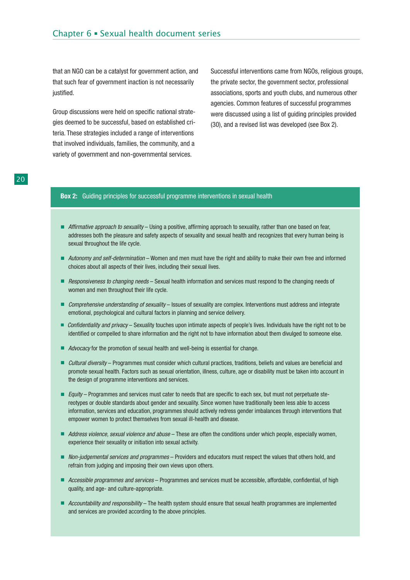that an NGO can be a catalyst for government action, and that such fear of government inaction is not necessarily justified.

Group discussions were held on specific national strategies deemed to be successful, based on established criteria. These strategies included a range of interventions that involved individuals, families, the community, and a variety of government and non-governmental services.

Successful interventions came from NGOs, religious groups, the private sector, the government sector, professional associations, sports and youth clubs, and numerous other agencies. Common features of successful programmes were discussed using a list of guiding principles provided (30), and a revised list was developed (see Box 2).

#### **Box 2:** Guiding principles for successful programme interventions in sexual health

- Affirmative approach to sexuality Using a positive, affirming approach to sexuality, rather than one based on fear, addresses both the pleasure and safety aspects of sexuality and sexual health and recognizes that every human being is sexual throughout the life cycle.
- Autonomy and self-determination Women and men must have the right and ability to make their own free and informed choices about all aspects of their lives, including their sexual lives.
- Responsiveness to changing needs Sexual health information and services must respond to the changing needs of women and men throughout their life cycle.
- Comprehensive understanding of sexuality Issues of sexuality are complex. Interventions must address and integrate emotional, psychological and cultural factors in planning and service delivery.
- Confidentiality and privacy Sexuality touches upon intimate aspects of people's lives. Individuals have the right not to be identified or compelled to share information and the right not to have information about them divulged to someone else.
- *Advocacy* for the promotion of sexual health and well-being is essential for change.
- *Cultural diversity* Programmes must consider which cultural practices, traditions, beliefs and values are beneficial and promote sexual health. Factors such as sexual orientation, illness, culture, age or disability must be taken into account in the design of programme interventions and services.
- Equity Programmes and services must cater to needs that are specific to each sex, but must not perpetuate stereotypes or double standards about gender and sexuality. Since women have traditionally been less able to access information, services and education, programmes should actively redress gender imbalances through interventions that empower women to protect themselves from sexual ill-health and disease.
- Address violence, sexual violence and abuse These are often the conditions under which people, especially women, experience their sexuality or initiation into sexual activity.
- Non-judgemental services and programmes Providers and educators must respect the values that others hold, and refrain from judging and imposing their own views upon others.
- Accessible programmes and services Programmes and services must be accessible, affordable, confidential, of high quality, and age- and culture-appropriate.
- Accountability and responsibility The health system should ensure that sexual health programmes are implemented and services are provided according to the above principles.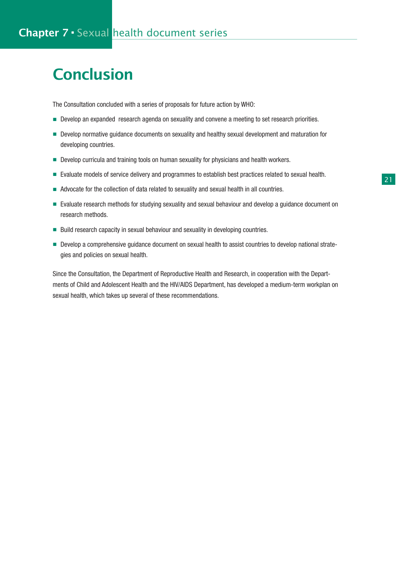# **Conclusion**

The Consultation concluded with a series of proposals for future action by WHO:

- Develop an expanded research agenda on sexuality and convene a meeting to set research priorities.
- Develop normative guidance documents on sexuality and healthy sexual development and maturation for developing countries.
- Develop curricula and training tools on human sexuality for physicians and health workers.
- Evaluate models of service delivery and programmes to establish best practices related to sexual health.
- Advocate for the collection of data related to sexuality and sexual health in all countries.
- Evaluate research methods for studying sexuality and sexual behaviour and develop a guidance document on research methods.
- Build research capacity in sexual behaviour and sexuality in developing countries.
- Develop a comprehensive guidance document on sexual health to assist countries to develop national strategies and policies on sexual health.

Since the Consultation, the Department of Reproductive Health and Research, in cooperation with the Departments of Child and Adolescent Health and the HIV/AIDS Department, has developed a medium-term workplan on sexual health, which takes up several of these recommendations.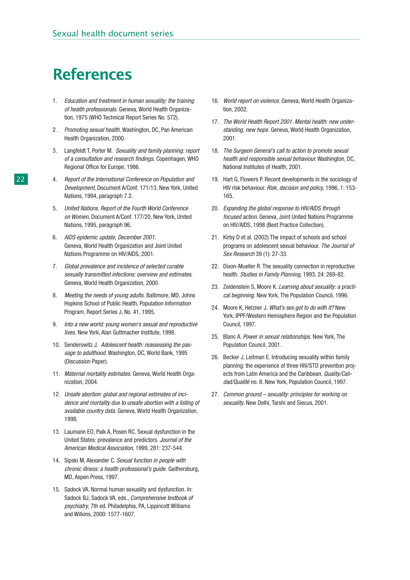# References

- 1. Education and treatment in human sexuality: the training of health professionals. Geneva, World Health Organization, 1975 (WHO Technical Report Series No. 572).
- 2. Promoting sexual health. Washington, DC, Pan American Health Organization, 2000.
- 3. Langfeldt T, Porter M. Sexuality and family planning: report of a consultation and research findings. Copenhagen, WHO Regional Office for Europe, 1986.
- 4. Report of the International Conference on Population and Development, Document A/Conf. 171/13, New York, United Nations, 1994, paragraph 7.2.
- 5. United Nations. Report of the Fourth World Conference on Women, Document A/Conf. 177/20, New York, United Nations, 1995, paragraph 96.
- 6. AIDS epidemic update, December 2001. Geneva, World Health Organization and Joint United Nations Programme on HIV/AIDS, 2001.
- Global prevalence and incidence of selected curable sexually transmitted infections: overview and estimates. Geneva, World Health Organization, 2000.
- 8. Meeting the needs of young adults. Baltimore, MD, Johns Hopkins School of Public Health, Population Information Program, Report Series J, No. 41, 1995.
- 9. Into a new world: young women's sexual and reproductive lives. New York, Alan Guttmacher Institute, 1998.
- 10. Senderowitz J. Adolescent health: reassessing the passage to adulthood. Washington, DC, World Bank, 1995 (Discussion Paper).
- 11. Maternal mortality estimates. Geneva, World Health Organization, 2004.
- 12. Unsafe abortion: global and regional estimates of incidence and mortality due to unsafe abortion with a listing of available country data. Geneva, World Health Organization, 1998.
- 13. Laumann EO, Paik A, Posen RC. Sexual dysfunction in the United States: prevalence and predictors. Journal of the American Medical Association, 1999, 281: 237-544.
- 14. Sipski M, Alexander C. Sexual function in people with chronic illness: a health professional's guide. Gaithersburg, MD, Aspen Press, 1997.
- 15. Sadock VA. Normal human sexuality and dysfunction. In: Sadock BJ, Sadock VA, eds., Comprehensive textbook of psychiatry, 7th ed. Philadelphia, PA, Lippincott Williams and Wilkins, 2000: 1577-1607.
- 16. World report on violence. Geneva, World Health Organization, 2002.
- 17. The World Health Report 2001. Mental health: new understanding, new hope. Geneva, World Health Organization, 2001.
- 18. The Surgeon General's call to action to promote sexual health and responsible sexual behaviour. Washington, DC, National Institutes of Health, 2001.
- 19. Hart G, Flowers P. Recent developments in the sociology of HIV risk behaviour. Risk, decision and policy, 1996, 1: 153- 165.
- 20. Expanding the global response to HIV/AIDS through focused action. Geneva, Joint United Nations Programme on HIV/AIDS, 1998 (Best Practice Collection).
- 21. Kirby D et al. (2002) The impact of schools and school programs on adolescent sexual behaviour. The Journal of Sex Research 39 (1): 27-33.
- 22. Dixon-Mueller R. The sexuality connection in reproductive health. Studies in Family Planning, 1993, 24: 269-82.
- 23. Zeidenstein S, Moore K. Learning about sexuality: a practical beginning. New York, The Population Council, 1996.
- 24. Moore K, Helzner J. What's sex got to do with it? New York, IPPF/Western Hemisphere Region and the Population Council, 1997.
- 25. Blanc A. Power in sexual relationships. New York, The Population Council, 2001.
- 26. Becker J, Leitman E. Introducing sexuality within family planning: the experience of three HIV/STD prevention projects from Latin America and the Caribbean. Quality/Calidad/Qualité no. 8. New York, Population Council, 1997.
- 27. Common ground sexuality: principles for working on sexuality. New Delhi, Tarshi and Siecus, 2001.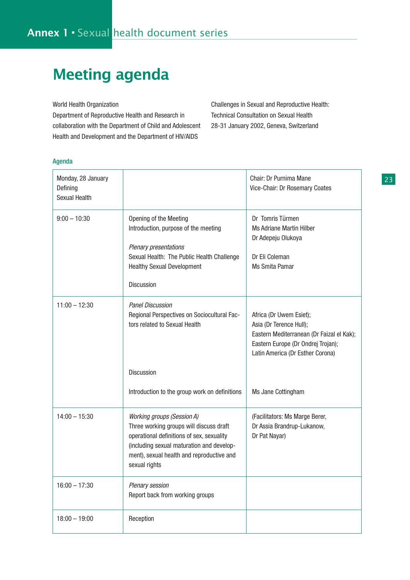# Meeting agenda

World Health Organization

Department of Reproductive Health and Research in collaboration with the Department of Child and Adolescent Health and Development and the Department of HIV/AIDS

Challenges in Sexual and Reproductive Health: Technical Consultation on Sexual Health 28-31 January 2002, Geneva, Switzerland

#### Agenda

| Monday, 28 January<br>Defining<br>Sexual Health |                                                                                                                                                                                                                                      | Chair: Dr Purnima Mane<br>Vice-Chair: Dr Rosemary Coates                                                                                                                  |
|-------------------------------------------------|--------------------------------------------------------------------------------------------------------------------------------------------------------------------------------------------------------------------------------------|---------------------------------------------------------------------------------------------------------------------------------------------------------------------------|
| $9:00 - 10:30$                                  | Opening of the Meeting<br>Introduction, purpose of the meeting<br>Plenary presentations<br>Sexual Health: The Public Health Challenge<br><b>Healthy Sexual Development</b><br><b>Discussion</b>                                      | Dr Tomris Türmen<br><b>Ms Adriane Martin Hilber</b><br>Dr Adepeju Olukoya<br>Dr Eli Coleman<br>Ms Smita Pamar                                                             |
| $11:00 - 12:30$                                 | <b>Panel Discussion</b><br>Regional Perspectives on Sociocultural Fac-<br>tors related to Sexual Health                                                                                                                              | Africa (Dr Uwem Esiet);<br>Asia (Dr Terence Hull);<br>Eastern Mediterranean (Dr Faizal el Kak);<br>Eastern Europe (Dr Ondrej Trojan);<br>Latin America (Dr Esther Corona) |
|                                                 | <b>Discussion</b>                                                                                                                                                                                                                    |                                                                                                                                                                           |
|                                                 | Introduction to the group work on definitions                                                                                                                                                                                        | Ms Jane Cottingham                                                                                                                                                        |
| $14:00 - 15:30$                                 | <b>Working groups (Session A)</b><br>Three working groups will discuss draft<br>operational definitions of sex, sexuality<br>(including sexual maturation and develop-<br>ment), sexual health and reproductive and<br>sexual rights | (Facilitators: Ms Marge Berer,<br>Dr Assia Brandrup-Lukanow,<br>Dr Pat Nayar)                                                                                             |
| $16:00 - 17:30$                                 | Plenary session<br>Report back from working groups                                                                                                                                                                                   |                                                                                                                                                                           |
| $18:00 - 19:00$                                 | Reception                                                                                                                                                                                                                            |                                                                                                                                                                           |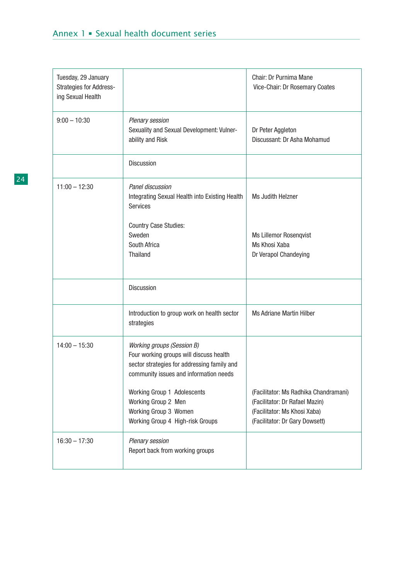| Tuesday, 29 January<br>Strategies for Address-<br>ing Sexual Health |                                                                                                                                                                                                                                                      | Chair: Dr Purnima Mane<br>Vice-Chair: Dr Rosemary Coates                                                |
|---------------------------------------------------------------------|------------------------------------------------------------------------------------------------------------------------------------------------------------------------------------------------------------------------------------------------------|---------------------------------------------------------------------------------------------------------|
| $9:00 - 10:30$                                                      | Plenary session<br>Sexuality and Sexual Development: Vulner-<br>ability and Risk                                                                                                                                                                     | Dr Peter Aggleton<br>Discussant: Dr Asha Mohamud                                                        |
|                                                                     | Discussion                                                                                                                                                                                                                                           |                                                                                                         |
| $11:00 - 12:30$                                                     | Panel discussion<br>Integrating Sexual Health into Existing Health<br><b>Services</b>                                                                                                                                                                | Ms Judith Helzner                                                                                       |
|                                                                     | <b>Country Case Studies:</b><br>Sweden<br>South Africa<br><b>Thailand</b>                                                                                                                                                                            | <b>Ms Lillemor Rosenqvist</b><br>Ms Khosi Xaba<br>Dr Verapol Chandeying                                 |
|                                                                     | <b>Discussion</b>                                                                                                                                                                                                                                    |                                                                                                         |
|                                                                     | Introduction to group work on health sector<br>strategies                                                                                                                                                                                            | <b>Ms Adriane Martin Hilber</b>                                                                         |
| $14:00 - 15:30$                                                     | <b>Working groups (Session B)</b><br>Four working groups will discuss health<br>sector strategies for addressing family and<br>community issues and information needs<br>Working Group 1 Adolescents<br>Working Group 2 Men<br>Working Group 3 Women | (Facilitator: Ms Radhika Chandramani)<br>(Facilitator: Dr Rafael Mazin)<br>(Facilitator: Ms Khosi Xaba) |
|                                                                     | Working Group 4 High-risk Groups                                                                                                                                                                                                                     | (Facilitator: Dr Gary Dowsett)                                                                          |
| $16:30 - 17:30$                                                     | Plenary session<br>Report back from working groups                                                                                                                                                                                                   |                                                                                                         |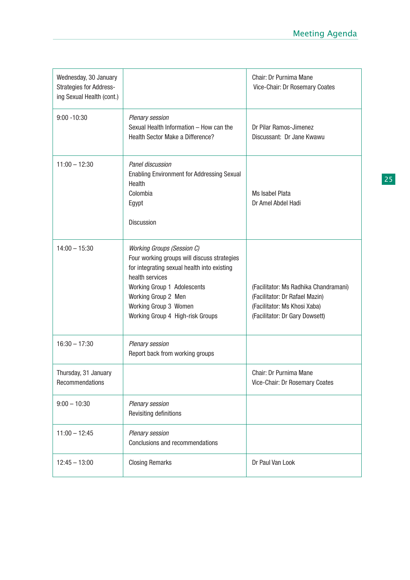| Wednesday, 30 January<br><b>Strategies for Address-</b><br>ing Sexual Health (cont.) |                                                                                                                                                                                                                                                                       | Chair: Dr Purnima Mane<br>Vice-Chair: Dr Rosemary Coates                                                                                  |
|--------------------------------------------------------------------------------------|-----------------------------------------------------------------------------------------------------------------------------------------------------------------------------------------------------------------------------------------------------------------------|-------------------------------------------------------------------------------------------------------------------------------------------|
| $9:00 - 10:30$                                                                       | Plenary session<br>Sexual Health Information - How can the<br>Health Sector Make a Difference?                                                                                                                                                                        | Dr Pilar Ramos-Jimenez<br>Discussant: Dr Jane Kwawu                                                                                       |
| $11:00 - 12:30$                                                                      | Panel discussion<br>Enabling Environment for Addressing Sexual<br>Health<br>Colombia<br>Egypt<br><b>Discussion</b>                                                                                                                                                    | Ms Isabel Plata<br>Dr Amel Abdel Hadi                                                                                                     |
| $14:00 - 15:30$                                                                      | <b>Working Groups (Session C)</b><br>Four working groups will discuss strategies<br>for integrating sexual health into existing<br>health services<br>Working Group 1 Adolescents<br>Working Group 2 Men<br>Working Group 3 Women<br>Working Group 4 High-risk Groups | (Facilitator: Ms Radhika Chandramani)<br>(Facilitator: Dr Rafael Mazin)<br>(Facilitator: Ms Khosi Xaba)<br>(Facilitator: Dr Gary Dowsett) |
| $16:30 - 17:30$                                                                      | Plenary session<br>Report back from working groups                                                                                                                                                                                                                    |                                                                                                                                           |
| Thursday, 31 January<br>Recommendations                                              |                                                                                                                                                                                                                                                                       | Chair: Dr Purnima Mane<br>Vice-Chair: Dr Rosemary Coates                                                                                  |
| $9:00 - 10:30$                                                                       | Plenary session<br>Revisiting definitions                                                                                                                                                                                                                             |                                                                                                                                           |
| $11:00 - 12:45$                                                                      | Plenary session<br>Conclusions and recommendations                                                                                                                                                                                                                    |                                                                                                                                           |
| $12:45 - 13:00$                                                                      | <b>Closing Remarks</b>                                                                                                                                                                                                                                                | Dr Paul Van Look                                                                                                                          |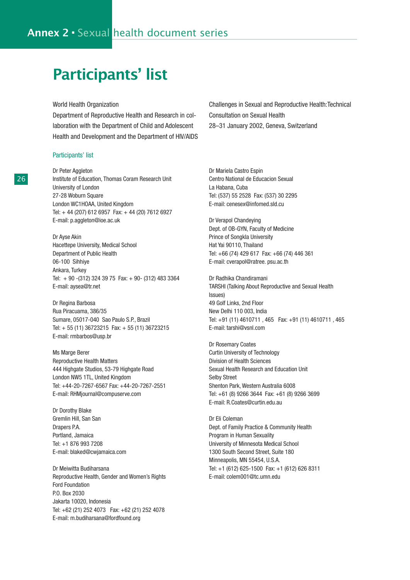# Participants' list

World Health Organization

Department of Reproductive Health and Research in collaboration with the Department of Child and Adolescent Health and Development and the Department of HIV/AIDS

#### Participants' list

Dr Peter Aggleton Institute of Education, Thomas Coram Research Unit University of London 27-28 Woburn Square London WC1HOAA, United Kingdom Tel: + 44 (207) 612 6957 Fax: + 44 (20) 7612 6927 E-mail: p.aggleton@ioe.ac.uk

Dr Ayse Akin Hacettepe University, Medical School Department of Public Health 06-100 Sihhiye Ankara, Turkey Tel: + 90 -(312) 324 39 75 Fax: + 90- (312) 483 3364 E-mail: aysea@tr.net

Dr Regina Barbosa Rua Piracuama, 386/35 Sumare, 05017-040 Sao Paulo S.P., Brazil Tel: + 55 (11) 36723215 Fax: + 55 (11) 36723215 E-mail: rmbarbos@usp.br

Ms Marge Berer Reproductive Health Matters 444 Highgate Studios, 53-79 Highgate Road London NW5 1TL, United Kingdom Tel: +44-20-7267-6567 Fax: +44-20-7267-2551 E-mail: RHMjournal@compuserve.com

Dr Dorothy Blake Gremlin Hill, San San Drapers P.A. Portland, Jamaica Tel: +1 876 993 7208 E-mail: blaked@cwjamaica.com

Dr Meiwitta Budiharsana Reproductive Health, Gender and Women's Rights Ford Foundation P.O. Box 2030 Jakarta 10020, Indonesia Tel: +62 (21) 252 4073 Fax: +62 (21) 252 4078 E-mail: m.budiharsana@fordfound.org

Challenges in Sexual and Reproductive Health:Technical Consultation on Sexual Health 28–31 January 2002, Geneva, Switzerland

Dr Mariela Castro Espin Centro National de Educacion Sexual La Habana, Cuba Tel: (537) 55 2528 Fax: (537) 30 2295 E-mail: cenesex@infomed.sld.cu

Dr Verapol Chandeying Dept. of OB-GYN, Faculty of Medicine Prince of Songkla University Hat Yai 90110, Thailand Tel: +66 (74) 429 617 Fax: +66 (74) 446 361 E-mail: cverapol@ratree. psu.ac.th

Dr Radhika Chandiramani TARSHI (Talking About Reproductive and Sexual Health Issues) 49 Golf Links, 2nd Floor New Delhi 110 003, India Tel: +91 (11) 4610711 , 465 Fax: +91 (11) 4610711 , 465 E-mail: tarshi@vsnl.com

Dr Rosemary Coates Curtin University of Technology Division of Health Sciences Sexual Health Research and Education Unit Selby Street Shenton Park, Western Australia 6008 Tel: +61 (8) 9266 3644 Fax: +61 (8) 9266 3699 E-mail: R.Coates@curtin.edu.au

Dr Eli Coleman Dept. of Family Practice & Community Health Program in Human Sexuality University of Minnesota Medical School 1300 South Second Street, Suite 180 Minneapolis, MN 55454, U.S.A. Tel: +1 (612) 625-1500 Fax: +1 (612) 626 8311 E-mail: colem001@tc.umn.edu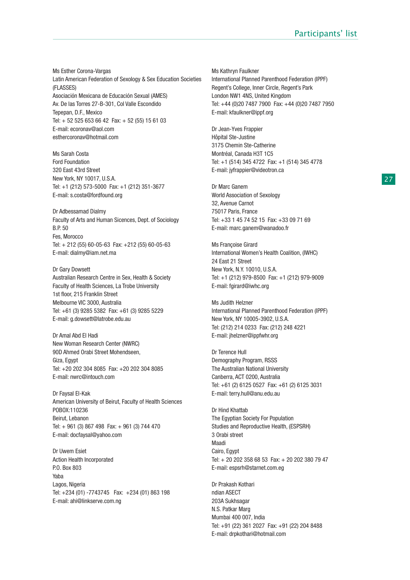Ms Esther Corona-Vargas Latin American Federation of Sexology & Sex Education Societies (FLASSES) Asociación Mexicana de Educación Sexual (AMES) Av. De las Torres 27-B-301, Col Valle Escondido Tepepan, D.F., Mexico Tel: + 52 525 653 66 42 Fax: + 52 (55) 15 61 03 E-mail: ecoronav@aol.com esthercoronav@hotmail.com

Ms Sarah Costa Ford Foundation 320 East 43rd Street New York, NY 10017, U.S.A. Tel: +1 (212) 573-5000 Fax: +1 (212) 351-3677 E-mail: s.costa@fordfound.org

Dr Adbessamad Dialmy Faculty of Arts and Human Sicences, Dept. of Sociology B.P. 50 Fes, Morocco Tel: + 212 (55) 60-05-63 Fax: +212 (55) 60-05-63 E-mail: dialmy@iam.net.ma

Dr Gary Dowsett Australian Research Centre in Sex, Health & Society Faculty of Health Sciences, La Trobe University 1st floor, 215 Franklin Street Melbourne VIC 3000, Australia Tel: +61 (3) 9285 5382 Fax: +61 (3) 9285 5229 E-mail: g.dowsett@latrobe.edu.au

Dr Amal Abd El Hadi New Woman Research Center (NWRC) 90D Ahmed Orabi Street Mohendseen, Giza, Egypt Tel: +20 202 304 8085 Fax: +20 202 304 8085 E-mail: nwrc@intouch.com

Dr Faysal El-Kak American University of Beirut, Faculty of Health Sciences POBOX:110236 Beirut, Lebanon Tel: + 961 (3) 867 498 Fax: + 961 (3) 744 470 E-mail: docfaysal@yahoo.com

Dr Uwem Esiet Action Health Incorporated P.O. Box 803 Yaba Lagos, Nigeria Tel: +234 (01) -7743745 Fax: +234 (01) 863 198 E-mail: ahi@linkserve.com.ng

Ms Kathryn Faulkner International Planned Parenthood Federation (IPPF) Regent's College, Inner Circle, Regent's Park London NW1 4NS, United Kingdom Tel: +44 (0)20 7487 7900 Fax: +44 (0)20 7487 7950 E-mail: kfaulkner@ippf.org

Dr Jean-Yves Frappier Hôpital Ste-Justine 3175 Chemin Ste-Catherine Montréal, Canada H3T 1C5 Tel: +1 (514) 345 4722 Fax: +1 (514) 345 4778 E-mail: jyfrappier@videotron.ca

Dr Marc Ganem World Association of Sexology 32, Avenue Carnot 75017 Paris, France Tel: +33 1 45 74 52 15 Fax: +33 09 71 69 E-mail: marc.ganem@wanadoo.fr

Ms Françoise Girard International Women's Health Coalition, (IWHC) 24 East 21 Street New York, N.Y. 10010, U.S.A. Tel: +1 (212) 979-8500 Fax: +1 (212) 979-9009 E-mail: fgirard@iwhc.org

Ms Judith Helzner International Planned Parenthood Federation (IPPF) New York, NY 10005-3902, U.S.A. Tel: (212) 214 0233 Fax: (212) 248 4221 E-mail: jhelzner@ippfwhr.org

Dr Terence Hull Demography Program, RSSS The Australian National University Canberra, ACT 0200, Australia Tel: +61 (2) 6125 0527 Fax: +61 (2) 6125 3031 E-mail: terry.hull@anu.edu.au

Dr Hind Khattab The Egyptian Society For Population Studies and Reproductive Health, (ESPSRH) 3 Orabi street Maadi Cairo, Egypt Tel: + 20 202 358 68 53 Fax: + 20 202 380 79 47 E-mail: espsrh@starnet.com.eg

Dr Prakash Kothari ndian ASECT 203A Sukhsagar N.S. Patkar Marg Mumbai 400 007, India Tel: +91 (22) 361 2027 Fax: +91 (22) 204 8488 E-mail: drpkothari@hotmail.com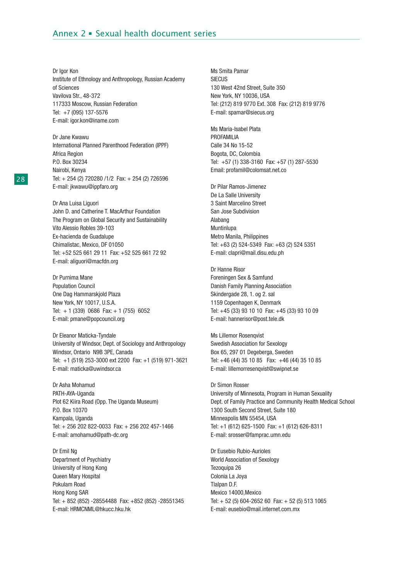Dr Igor Kon Institute of Ethnology and Anthropology, Russian Academy of Sciences Vavilova Str., 48-372 117333 Moscow, Russian Federation Tel: +7 (095) 137-5576 E-mail: igor.kon@iname.com

Dr Jane Kwawu International Planned Parenthood Federation (IPPF) Africa Region P.O. Box 30234 Nairobi, Kenya Tel: + 254 (2) 720280 /1/2 Fax: + 254 (2) 726596 E-mail: jkwawu@ippfaro.org

Dr Ana Luisa Liguori John D. and Catherine T. MacArthur Foundation The Program on Global Security and Sustainability Vito Alessio Robles 39-103 Ex-hacienda de Guadalupe Chimalistac, Mexico, DF 01050 Tel: +52 525 661 29 11 Fax: +52 525 661 72 92 E-mail: aliguori@macfdn.org

Dr Purnima Mane Population Council One Dag Hammarskjold Plaza New York, NY 10017, U.S.A. Tel: + 1 (339) 0686 Fax: + 1 (755) 6052 E-mail: pmane@popcouncil.org

Dr Eleanor Maticka-Tyndale University of Windsor, Dept. of Sociology and Anthropology Windsor, Ontario N9B 3PE, Canada Tel: +1 (519) 253-3000 ext 2200 Fax: +1 (519) 971-3621 E-mail: maticka@uwindsor.ca

Dr Asha Mohamud PATH-AYA-Uganda Plot 62 Kiira Road (Opp. The Uganda Museum) P.O. Box 10370 Kampala, Uganda Tel: + 256 202 822-0033 Fax: + 256 202 457-1466 E-mail: amohamud@path-dc.org

Dr Emil Ng Department of Psychiatry University of Hong Kong Queen Mary Hospital Pokulam Road Hong Kong SAR Tel: + 852 (852) -28554488 Fax: +852 (852) -28551345 E-mail: HRMCNML@hkucc.hku.hk

Ms Smita Pamar **SIECUS** 130 West 42nd Street, Suite 350 New York, NY 10036, USA Tel: (212) 819 9770 Ext. 308 Fax: (212) 819 9776 E-mail: spamar@siecus.org

Ms Maria-Isabel Plata PROFAMILIA Calle 34 No 15-52 Bogota, DC, Colombia Tel: +57 (1) 338-3160 Fax: +57 (1) 287-5530 Email: profamil@colomsat.net.co

Dr Pilar Ramos-Jimenez De La Salle University 3 Saint Marcelino Street San Jose Subdivision Alabang Muntinlupa Metro Manila, Philippines Tel: +63 (2) 524-5349 Fax: +63 (2) 524 5351 E-mail: clapri@mail.disu.edu.ph

Dr Hanne Risor Foreningen Sex & Samfund Danish Family Planning Association Skindergade 28, 1. og 2. sal 1159 Copenhagen K, Denmark Tel: +45 (33) 93 10 10 Fax: +45 (33) 93 10 09 E-mail: hannerisor@post.tele.dk

Ms Lillemor Rosenqvist Swedish Association for Sexology Box 65, 297 01 Degeberga, Sweden Tel: +46 (44) 35 10 85 Fax: +46 (44) 35 10 85 E-mail: lillemorresenqvist@swipnet.se

Dr Simon Rosser University of Minnesota, Program in Human Sexuality Dept. of Family Practice and Community Health Medical School 1300 South Second Street, Suite 180 Minneapolis MN 55454, USA Tel: +1 (612) 625-1500 Fax: +1 (612) 626-8311 E-mail: srosser@famprac.umn.edu

Dr Eusebio Rubio-Aurioles World Association of Sexology Tezoquipa 26 Colonia La Joya Tlalpan D.F. Mexico 14000,Mexico Tel: + 52 (5) 604-2652 60 Fax: + 52 (5) 513 1065 E-mail: eusebio@mail.internet.com.mx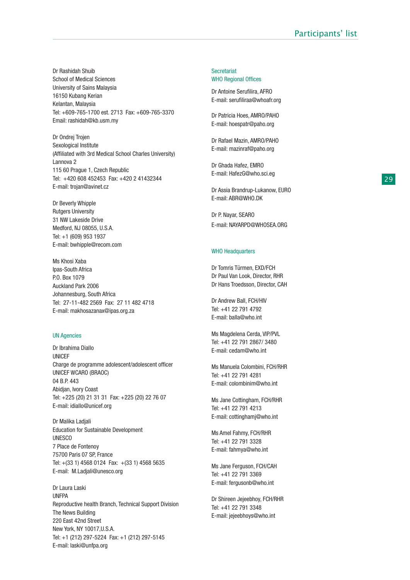Dr Rashidah Shuib School of Medical Sciences University of Sains Malaysia 16150 Kubang Kerian Kelantan, Malaysia Tel: +609-765-1700 est. 2713 Fax: +609-765-3370 Email: rashidah@kb.usm.my

Dr Ondrej Trojen Sexological Institute (Affiliated with 3rd Medical School Charles University) Lannova 2 115 60 Prague 1, Czech Republic Tel: +420 608 452453 Fax: +420 2 41432344 E-mail: trojan@avinet.cz

Dr Beverly Whipple Rutgers University 31 NW Lakeside Drive Medford, NJ 08055, U.S.A. Tel: +1 (609) 953 1937 E-mail: bwhipple@recom.com

Ms Khosi Xaba Ipas-South Africa P.O. Box 1079 Auckland Park 2006 Johannesburg, South Africa Tel: 27-11-482 2569 Fax: 27 11 482 4718 E-mail: makhosazanax@ipas.org.za

#### UN Agencies

Dr Ibrahima Diallo UNICEF Charge de programme adolescent/adolescent officer UNICEF WCARO (BRAOC) 04 B.P. 443 Abidjan, Ivory Coast Tel: +225 (20) 21 31 31 Fax: +225 (20) 22 76 07 E-mail: idiallo@unicef.org

Dr Malika Ladjali Education for Sustainable Development UNESCO 7 Place de Fontenoy 75700 Paris 07 SP, France Tel: +(33 1) 4568 0124 Fax: +(33 1) 4568 5635 E-mail: M.Ladjali@unesco.org

Dr Laura Laski UNFPA Reproductive health Branch, Technical Support Division The News Building 220 East 42nd Street New York, NY 10017,U.S.A. Tel: +1 (212) 297-5224 Fax: +1 (212) 297-5145 E-mail: laski@unfpa.org

#### **Secretariat** WHO Regional Offices

Dr Antoine Serufilira, AFRO E-mail: serufiliraa@whoafr.org

Dr Patricia Hoes, AMRO/PAHO E-mail: hoespatr@paho.org

Dr Rafael Mazin, AMRO/PAHO E-mail: mazinraf@paho.org

Dr Ghada Hafez, EMRO E-mail: HafezG@who.sci.eg

Dr Assia Brandrup-Lukanow, EURO E-mail: ABR@WHO.DK

Dr P. Nayar, SEARO E-mail: NAYARPD@WHOSEA.ORG

#### WHO Headquarters

Dr Tomris Türmen, EXD/FCH Dr Paul Van Look, Director, RHR Dr Hans Troedsson, Director, CAH

Dr Andrew Ball, FCH/HIV Tel: +41 22 791 4792 E-mail: balla@who.int

Ms Magdelena Cerda, VIP/PVL Tel: +41 22 791 2867/ 3480 E-mail: cedam@who.int

Ms Manuela Colombini, FCH/RHR Tel: +41 22 791 4281 E-mail: colombinim@who.int

Ms Jane Cottingham, FCH/RHR Tel: +41 22 791 4213 E-mail: cottinghamj@who.int

Ms Amel Fahmy, FCH/RHR Tel: +41 22 791 3328 E-mail: fahmya@who.int

Ms Jane Ferguson, FCH/CAH Tel: +41 22 791 3369 E-mail: fergusonb@who.int

Dr Shireen Jejeebhoy, FCH/RHR Tel: +41 22 791 3348 E-mail: jejeebhoys@who.int